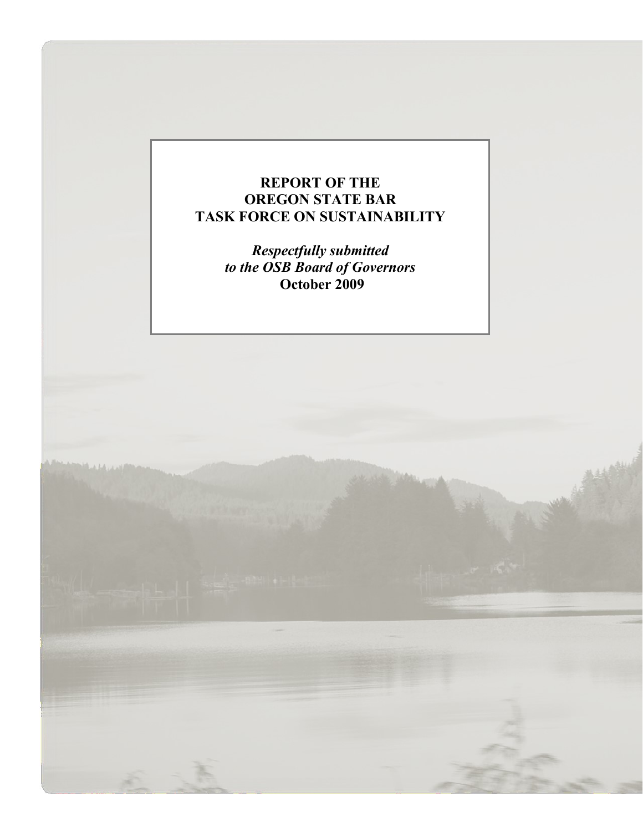# **REPORT OF THE OREGON STATE BAR TASK FORCE ON SUSTAINABILITY**

*Respectfully submitted to the OSB Board of Governors* **October 2009**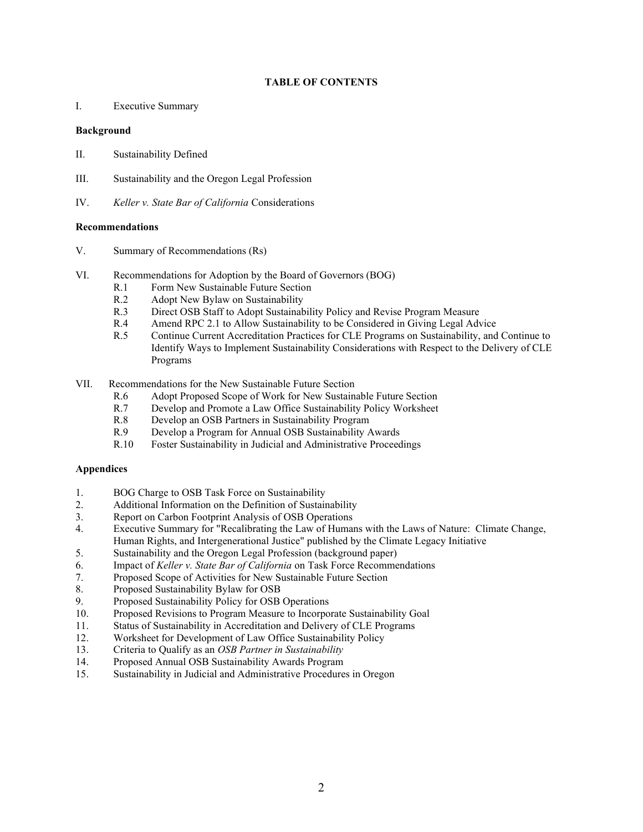#### **TABLE OF CONTENTS**

I. Executive Summary

#### **Background**

- II. Sustainability Defined
- III. Sustainability and the Oregon Legal Profession
- IV. *Keller v. State Bar of California* Considerations

#### **Recommendations**

- V. Summary of Recommendations (Rs)
- VI. Recommendations for Adoption by the Board of Governors (BOG)
	- R.1 Form New Sustainable Future Section
	- R.2 Adopt New Bylaw on Sustainability
	- R.3 Direct OSB Staff to Adopt Sustainability Policy and Revise Program Measure
	- R.4 Amend RPC 2.1 to Allow Sustainability to be Considered in Giving Legal Advice
	- R.5 Continue Current Accreditation Practices for CLE Programs on Sustainability, and Continue to Identify Ways to Implement Sustainability Considerations with Respect to the Delivery of CLE Programs
- VII. Recommendations for the New Sustainable Future Section
	- R.6 Adopt Proposed Scope of Work for New Sustainable Future Section
	- R.7 Develop and Promote a Law Office Sustainability Policy Worksheet
	- R.8 Develop an OSB Partners in Sustainability Program
	- R.9 Develop a Program for Annual OSB Sustainability Awards
	- R.10 Foster Sustainability in Judicial and Administrative Proceedings

#### **Appendices**

- 1. BOG Charge to OSB Task Force on Sustainability
- 2. Additional Information on the Definition of Sustainability
- 3. Report on Carbon Footprint Analysis of OSB Operations
- 4. Executive Summary for "Recalibrating the Law of Humans with the Laws of Nature: Climate Change, Human Rights, and Intergenerational Justice" published by the Climate Legacy Initiative
- 5. Sustainability and the Oregon Legal Profession (background paper)
- 6. Impact of *Keller v. State Bar of California* on Task Force Recommendations
- 7. Proposed Scope of Activities for New Sustainable Future Section
- 8. Proposed Sustainability Bylaw for OSB
- 9. Proposed Sustainability Policy for OSB Operations
- 10. Proposed Revisions to Program Measure to Incorporate Sustainability Goal
- 11. Status of Sustainability in Accreditation and Delivery of CLE Programs
- 12. Worksheet for Development of Law Office Sustainability Policy
- 13. Criteria to Qualify as an *OSB Partner in Sustainability*
- 14. Proposed Annual OSB Sustainability Awards Program
- 15. Sustainability in Judicial and Administrative Procedures in Oregon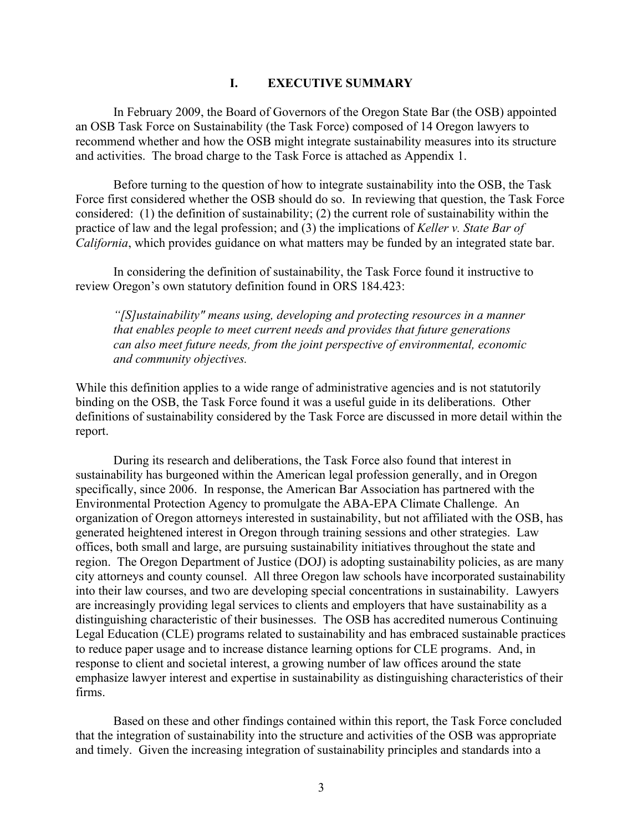#### **I. EXECUTIVE SUMMARY**

In February 2009, the Board of Governors of the Oregon State Bar (the OSB) appointed an OSB Task Force on Sustainability (the Task Force) composed of 14 Oregon lawyers to recommend whether and how the OSB might integrate sustainability measures into its structure and activities. The broad charge to the Task Force is attached as Appendix 1.

Before turning to the question of how to integrate sustainability into the OSB, the Task Force first considered whether the OSB should do so. In reviewing that question, the Task Force considered: (1) the definition of sustainability; (2) the current role of sustainability within the practice of law and the legal profession; and (3) the implications of *Keller v. State Bar of California*, which provides guidance on what matters may be funded by an integrated state bar.

In considering the definition of sustainability, the Task Force found it instructive to review Oregon's own statutory definition found in ORS 184.423:

*"[S]ustainability" means using, developing and protecting resources in a manner that enables people to meet current needs and provides that future generations can also meet future needs, from the joint perspective of environmental, economic and community objectives.*

While this definition applies to a wide range of administrative agencies and is not statutorily binding on the OSB, the Task Force found it was a useful guide in its deliberations. Other definitions of sustainability considered by the Task Force are discussed in more detail within the report.

During its research and deliberations, the Task Force also found that interest in sustainability has burgeoned within the American legal profession generally, and in Oregon specifically, since 2006. In response, the American Bar Association has partnered with the Environmental Protection Agency to promulgate the ABA-EPA Climate Challenge. An organization of Oregon attorneys interested in sustainability, but not affiliated with the OSB, has generated heightened interest in Oregon through training sessions and other strategies. Law offices, both small and large, are pursuing sustainability initiatives throughout the state and region. The Oregon Department of Justice (DOJ) is adopting sustainability policies, as are many city attorneys and county counsel. All three Oregon law schools have incorporated sustainability into their law courses, and two are developing special concentrations in sustainability. Lawyers are increasingly providing legal services to clients and employers that have sustainability as a distinguishing characteristic of their businesses. The OSB has accredited numerous Continuing Legal Education (CLE) programs related to sustainability and has embraced sustainable practices to reduce paper usage and to increase distance learning options for CLE programs. And, in response to client and societal interest, a growing number of law offices around the state emphasize lawyer interest and expertise in sustainability as distinguishing characteristics of their firms.

Based on these and other findings contained within this report, the Task Force concluded that the integration of sustainability into the structure and activities of the OSB was appropriate and timely. Given the increasing integration of sustainability principles and standards into a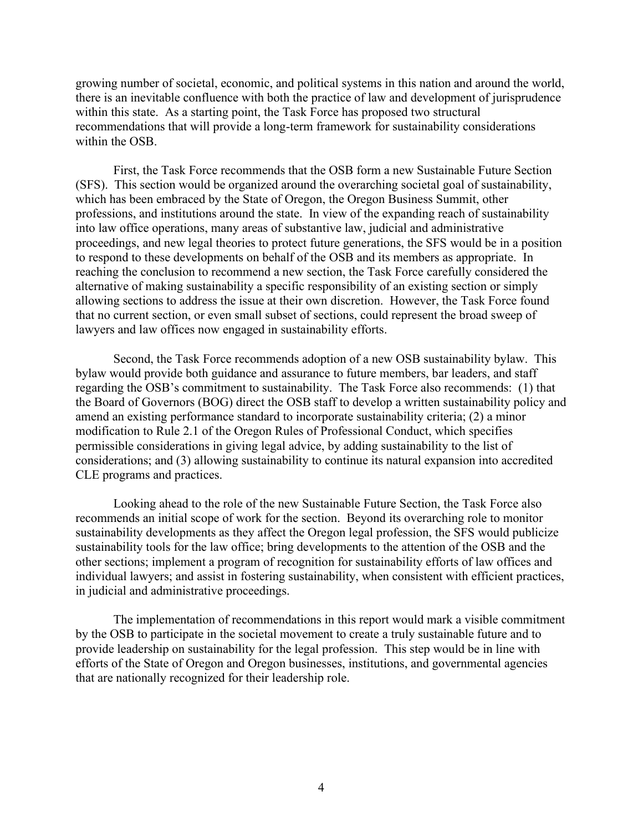growing number of societal, economic, and political systems in this nation and around the world, there is an inevitable confluence with both the practice of law and development of jurisprudence within this state. As a starting point, the Task Force has proposed two structural recommendations that will provide a long-term framework for sustainability considerations within the OSB.

First, the Task Force recommends that the OSB form a new Sustainable Future Section (SFS). This section would be organized around the overarching societal goal of sustainability, which has been embraced by the State of Oregon, the Oregon Business Summit, other professions, and institutions around the state. In view of the expanding reach of sustainability into law office operations, many areas of substantive law, judicial and administrative proceedings, and new legal theories to protect future generations, the SFS would be in a position to respond to these developments on behalf of the OSB and its members as appropriate. In reaching the conclusion to recommend a new section, the Task Force carefully considered the alternative of making sustainability a specific responsibility of an existing section or simply allowing sections to address the issue at their own discretion. However, the Task Force found that no current section, or even small subset of sections, could represent the broad sweep of lawyers and law offices now engaged in sustainability efforts.

Second, the Task Force recommends adoption of a new OSB sustainability bylaw. This bylaw would provide both guidance and assurance to future members, bar leaders, and staff regarding the OSB's commitment to sustainability. The Task Force also recommends: (1) that the Board of Governors (BOG) direct the OSB staff to develop a written sustainability policy and amend an existing performance standard to incorporate sustainability criteria; (2) a minor modification to Rule 2.1 of the Oregon Rules of Professional Conduct, which specifies permissible considerations in giving legal advice, by adding sustainability to the list of considerations; and (3) allowing sustainability to continue its natural expansion into accredited CLE programs and practices.

Looking ahead to the role of the new Sustainable Future Section, the Task Force also recommends an initial scope of work for the section. Beyond its overarching role to monitor sustainability developments as they affect the Oregon legal profession, the SFS would publicize sustainability tools for the law office; bring developments to the attention of the OSB and the other sections; implement a program of recognition for sustainability efforts of law offices and individual lawyers; and assist in fostering sustainability, when consistent with efficient practices, in judicial and administrative proceedings.

The implementation of recommendations in this report would mark a visible commitment by the OSB to participate in the societal movement to create a truly sustainable future and to provide leadership on sustainability for the legal profession. This step would be in line with efforts of the State of Oregon and Oregon businesses, institutions, and governmental agencies that are nationally recognized for their leadership role.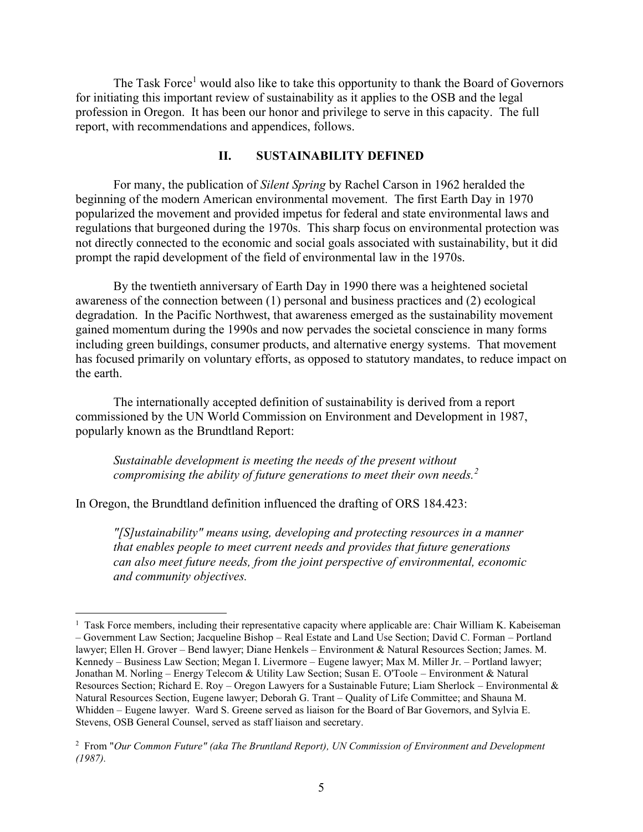The Task Force<sup>1</sup> would also like to take this opportunity to thank the Board of Governors for initiating this important review of sustainability as it applies to the OSB and the legal profession in Oregon. It has been our honor and privilege to serve in this capacity. The full report, with recommendations and appendices, follows.

### **II. SUSTAINABILITY DEFINED**

For many, the publication of *Silent Spring* by Rachel Carson in 1962 heralded the beginning of the modern American environmental movement. The first Earth Day in 1970 popularized the movement and provided impetus for federal and state environmental laws and regulations that burgeoned during the 1970s. This sharp focus on environmental protection was not directly connected to the economic and social goals associated with sustainability, but it did prompt the rapid development of the field of environmental law in the 1970s.

By the twentieth anniversary of Earth Day in 1990 there was a heightened societal awareness of the connection between (1) personal and business practices and (2) ecological degradation. In the Pacific Northwest, that awareness emerged as the sustainability movement gained momentum during the 1990s and now pervades the societal conscience in many forms including green buildings, consumer products, and alternative energy systems. That movement has focused primarily on voluntary efforts, as opposed to statutory mandates, to reduce impact on the earth.

The internationally accepted definition of sustainability is derived from a report commissioned by the UN World Commission on Environment and Development in 1987, popularly known as the Brundtland Report:

*Sustainable development is meeting the needs of the present without compromising the ability of future generations to meet their own needs.<sup>2</sup>*

In Oregon, the Brundtland definition influenced the drafting of ORS 184.423:

*"[S]ustainability" means using, developing and protecting resources in a manner that enables people to meet current needs and provides that future generations can also meet future needs, from the joint perspective of environmental, economic and community objectives.*

<sup>&</sup>lt;sup>1</sup> Task Force members, including their representative capacity where applicable are: Chair William K. Kabeiseman – Government Law Section; Jacqueline Bishop – Real Estate and Land Use Section; David C. Forman – Portland lawyer; Ellen H. Grover – Bend lawyer; Diane Henkels – Environment & Natural Resources Section; James. M. Kennedy – Business Law Section; Megan I. Livermore – Eugene lawyer; Max M. Miller Jr. – Portland lawyer; Jonathan M. Norling – Energy Telecom & Utility Law Section; Susan E. O'Toole – Environment & Natural Resources Section; Richard E. Roy – Oregon Lawyers for a Sustainable Future; Liam Sherlock – Environmental  $\&$ Natural Resources Section, Eugene lawyer; Deborah G. Trant – Quality of Life Committee; and Shauna M. Whidden – Eugene lawyer. Ward S. Greene served as liaison for the Board of Bar Governors, and Sylvia E. Stevens, OSB General Counsel, served as staff liaison and secretary.

<sup>2</sup> From "*Our Common Future" (aka The Bruntland Report), UN Commission of Environment and Development (1987).*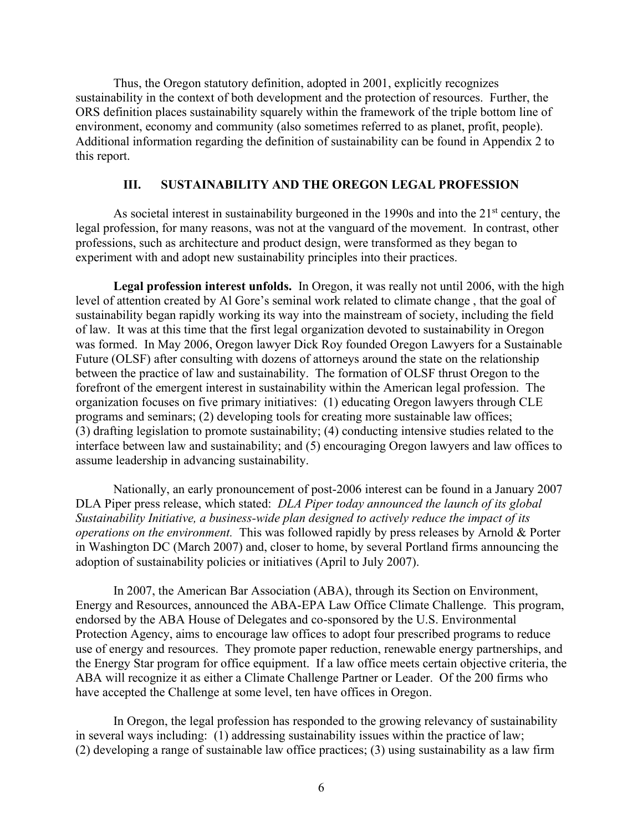Thus, the Oregon statutory definition, adopted in 2001, explicitly recognizes sustainability in the context of both development and the protection of resources. Further, the ORS definition places sustainability squarely within the framework of the triple bottom line of environment, economy and community (also sometimes referred to as planet, profit, people). Additional information regarding the definition of sustainability can be found in Appendix 2 to this report.

### **III. SUSTAINABILITY AND THE OREGON LEGAL PROFESSION**

As societal interest in sustainability burgeoned in the 1990s and into the  $21<sup>st</sup>$  century, the legal profession, for many reasons, was not at the vanguard of the movement. In contrast, other professions, such as architecture and product design, were transformed as they began to experiment with and adopt new sustainability principles into their practices.

**Legal profession interest unfolds.** In Oregon, it was really not until 2006, with the high level of attention created by Al Gore's seminal work related to climate change , that the goal of sustainability began rapidly working its way into the mainstream of society, including the field of law. It was at this time that the first legal organization devoted to sustainability in Oregon was formed. In May 2006, Oregon lawyer Dick Roy founded Oregon Lawyers for a Sustainable Future (OLSF) after consulting with dozens of attorneys around the state on the relationship between the practice of law and sustainability. The formation of OLSF thrust Oregon to the forefront of the emergent interest in sustainability within the American legal profession. The organization focuses on five primary initiatives: (1) educating Oregon lawyers through CLE programs and seminars; (2) developing tools for creating more sustainable law offices; (3) drafting legislation to promote sustainability; (4) conducting intensive studies related to the interface between law and sustainability; and (5) encouraging Oregon lawyers and law offices to assume leadership in advancing sustainability.

Nationally, an early pronouncement of post-2006 interest can be found in a January 2007 DLA Piper press release, which stated: *DLA Piper today announced the launch of its global Sustainability Initiative, a business-wide plan designed to actively reduce the impact of its operations on the environment.* This was followed rapidly by press releases by Arnold & Porter in Washington DC (March 2007) and, closer to home, by several Portland firms announcing the adoption of sustainability policies or initiatives (April to July 2007).

In 2007, the American Bar Association (ABA), through its Section on Environment, Energy and Resources, announced the ABA-EPA Law Office Climate Challenge. This program, endorsed by the ABA House of Delegates and co-sponsored by the U.S. Environmental Protection Agency, aims to encourage law offices to adopt four prescribed programs to reduce use of energy and resources. They promote paper reduction, renewable energy partnerships, and the Energy Star program for office equipment. If a law office meets certain objective criteria, the ABA will recognize it as either a Climate Challenge Partner or Leader. Of the 200 firms who have accepted the Challenge at some level, ten have offices in Oregon.

In Oregon, the legal profession has responded to the growing relevancy of sustainability in several ways including: (1) addressing sustainability issues within the practice of law; (2) developing a range of sustainable law office practices; (3) using sustainability as a law firm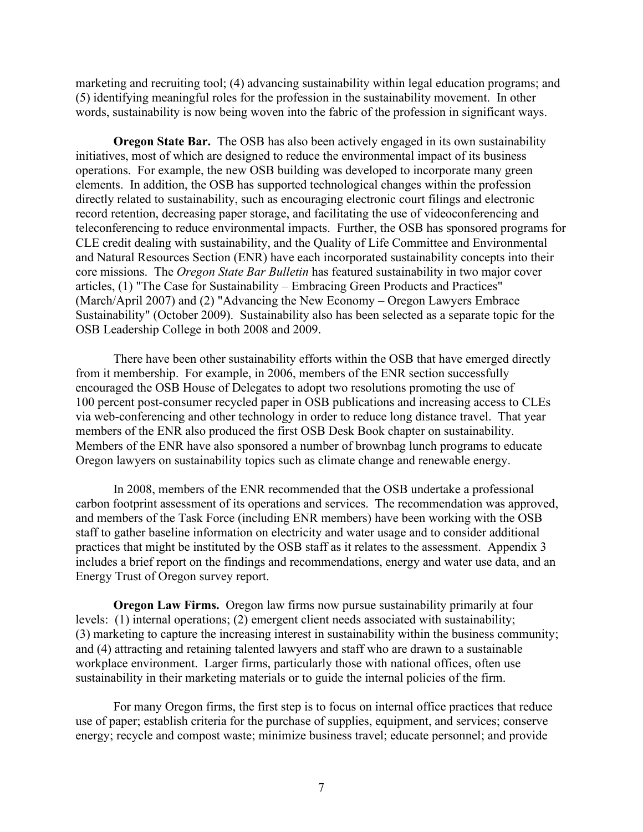marketing and recruiting tool; (4) advancing sustainability within legal education programs; and (5) identifying meaningful roles for the profession in the sustainability movement. In other words, sustainability is now being woven into the fabric of the profession in significant ways.

**Oregon State Bar.** The OSB has also been actively engaged in its own sustainability initiatives, most of which are designed to reduce the environmental impact of its business operations. For example, the new OSB building was developed to incorporate many green elements. In addition, the OSB has supported technological changes within the profession directly related to sustainability, such as encouraging electronic court filings and electronic record retention, decreasing paper storage, and facilitating the use of videoconferencing and teleconferencing to reduce environmental impacts. Further, the OSB has sponsored programs for CLE credit dealing with sustainability, and the Quality of Life Committee and Environmental and Natural Resources Section (ENR) have each incorporated sustainability concepts into their core missions. The *Oregon State Bar Bulletin* has featured sustainability in two major cover articles, (1) "The Case for Sustainability – Embracing Green Products and Practices" (March/April 2007) and (2) "Advancing the New Economy – Oregon Lawyers Embrace Sustainability" (October 2009). Sustainability also has been selected as a separate topic for the OSB Leadership College in both 2008 and 2009.

There have been other sustainability efforts within the OSB that have emerged directly from it membership. For example, in 2006, members of the ENR section successfully encouraged the OSB House of Delegates to adopt two resolutions promoting the use of 100 percent post-consumer recycled paper in OSB publications and increasing access to CLEs via web-conferencing and other technology in order to reduce long distance travel. That year members of the ENR also produced the first OSB Desk Book chapter on sustainability. Members of the ENR have also sponsored a number of brownbag lunch programs to educate Oregon lawyers on sustainability topics such as climate change and renewable energy.

In 2008, members of the ENR recommended that the OSB undertake a professional carbon footprint assessment of its operations and services. The recommendation was approved, and members of the Task Force (including ENR members) have been working with the OSB staff to gather baseline information on electricity and water usage and to consider additional practices that might be instituted by the OSB staff as it relates to the assessment. Appendix 3 includes a brief report on the findings and recommendations, energy and water use data, and an Energy Trust of Oregon survey report.

**Oregon Law Firms.** Oregon law firms now pursue sustainability primarily at four levels: (1) internal operations; (2) emergent client needs associated with sustainability; (3) marketing to capture the increasing interest in sustainability within the business community; and (4) attracting and retaining talented lawyers and staff who are drawn to a sustainable workplace environment. Larger firms, particularly those with national offices, often use sustainability in their marketing materials or to guide the internal policies of the firm.

For many Oregon firms, the first step is to focus on internal office practices that reduce use of paper; establish criteria for the purchase of supplies, equipment, and services; conserve energy; recycle and compost waste; minimize business travel; educate personnel; and provide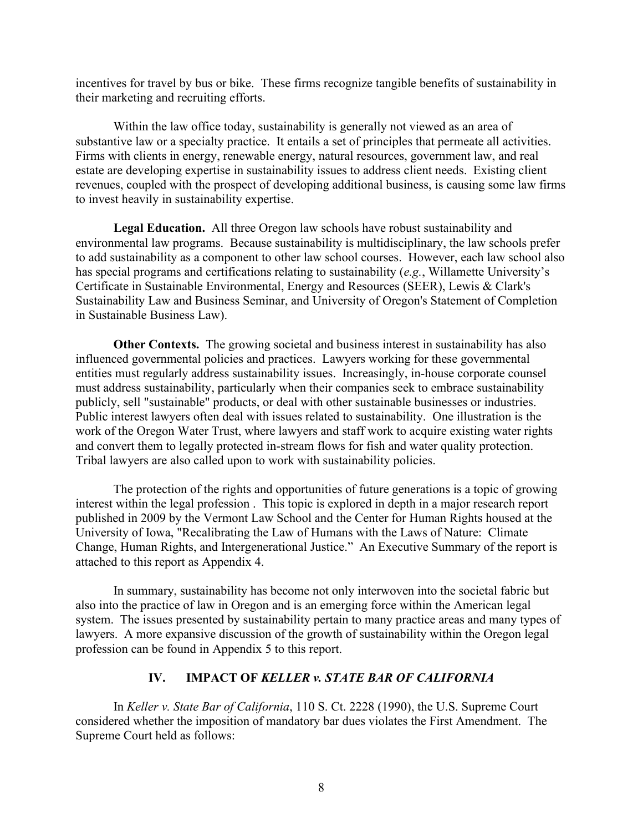incentives for travel by bus or bike. These firms recognize tangible benefits of sustainability in their marketing and recruiting efforts.

Within the law office today, sustainability is generally not viewed as an area of substantive law or a specialty practice. It entails a set of principles that permeate all activities. Firms with clients in energy, renewable energy, natural resources, government law, and real estate are developing expertise in sustainability issues to address client needs. Existing client revenues, coupled with the prospect of developing additional business, is causing some law firms to invest heavily in sustainability expertise.

**Legal Education.** All three Oregon law schools have robust sustainability and environmental law programs. Because sustainability is multidisciplinary, the law schools prefer to add sustainability as a component to other law school courses. However, each law school also has special programs and certifications relating to sustainability (*e.g.*, Willamette University's Certificate in Sustainable Environmental, Energy and Resources (SEER), Lewis & Clark's Sustainability Law and Business Seminar, and University of Oregon's Statement of Completion in Sustainable Business Law).

**Other Contexts.** The growing societal and business interest in sustainability has also influenced governmental policies and practices. Lawyers working for these governmental entities must regularly address sustainability issues. Increasingly, in-house corporate counsel must address sustainability, particularly when their companies seek to embrace sustainability publicly, sell "sustainable" products, or deal with other sustainable businesses or industries. Public interest lawyers often deal with issues related to sustainability. One illustration is the work of the Oregon Water Trust, where lawyers and staff work to acquire existing water rights and convert them to legally protected in-stream flows for fish and water quality protection. Tribal lawyers are also called upon to work with sustainability policies.

The protection of the rights and opportunities of future generations is a topic of growing interest within the legal profession . This topic is explored in depth in a major research report published in 2009 by the Vermont Law School and the Center for Human Rights housed at the University of Iowa, "Recalibrating the Law of Humans with the Laws of Nature: Climate Change, Human Rights, and Intergenerational Justice." An Executive Summary of the report is attached to this report as Appendix 4.

In summary, sustainability has become not only interwoven into the societal fabric but also into the practice of law in Oregon and is an emerging force within the American legal system. The issues presented by sustainability pertain to many practice areas and many types of lawyers. A more expansive discussion of the growth of sustainability within the Oregon legal profession can be found in Appendix 5 to this report.

### **IV. IMPACT OF** *KELLER v. STATE BAR OF CALIFORNIA*

In *Keller v. State Bar of California*, 110 S. Ct. 2228 (1990), the U.S. Supreme Court considered whether the imposition of mandatory bar dues violates the First Amendment. The Supreme Court held as follows: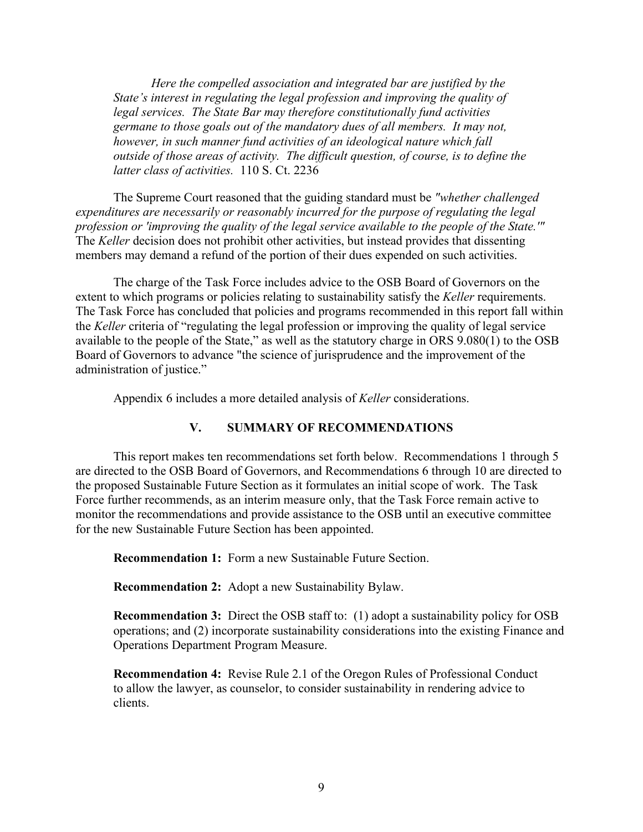*Here the compelled association and integrated bar are justified by the State's interest in regulating the legal profession and improving the quality of legal services. The State Bar may therefore constitutionally fund activities germane to those goals out of the mandatory dues of all members. It may not, however, in such manner fund activities of an ideological nature which fall outside of those areas of activity. The difficult question, of course, is to define the latter class of activities.* 110 S. Ct. 2236

The Supreme Court reasoned that the guiding standard must be *"whether challenged expenditures are necessarily or reasonably incurred for the purpose of regulating the legal profession or 'improving the quality of the legal service available to the people of the State.'"* The *Keller* decision does not prohibit other activities, but instead provides that dissenting members may demand a refund of the portion of their dues expended on such activities.

The charge of the Task Force includes advice to the OSB Board of Governors on the extent to which programs or policies relating to sustainability satisfy the *Keller* requirements. The Task Force has concluded that policies and programs recommended in this report fall within the *Keller* criteria of "regulating the legal profession or improving the quality of legal service available to the people of the State," as well as the statutory charge in ORS 9.080(1) to the OSB Board of Governors to advance "the science of jurisprudence and the improvement of the administration of justice."

Appendix 6 includes a more detailed analysis of *Keller* considerations.

### **V. SUMMARY OF RECOMMENDATIONS**

This report makes ten recommendations set forth below. Recommendations 1 through 5 are directed to the OSB Board of Governors, and Recommendations 6 through 10 are directed to the proposed Sustainable Future Section as it formulates an initial scope of work. The Task Force further recommends, as an interim measure only, that the Task Force remain active to monitor the recommendations and provide assistance to the OSB until an executive committee for the new Sustainable Future Section has been appointed.

**Recommendation 1:** Form a new Sustainable Future Section.

**Recommendation 2:** Adopt a new Sustainability Bylaw.

**Recommendation 3:** Direct the OSB staff to: (1) adopt a sustainability policy for OSB operations; and (2) incorporate sustainability considerations into the existing Finance and Operations Department Program Measure.

**Recommendation 4:** Revise Rule 2.1 of the Oregon Rules of Professional Conduct to allow the lawyer, as counselor, to consider sustainability in rendering advice to clients.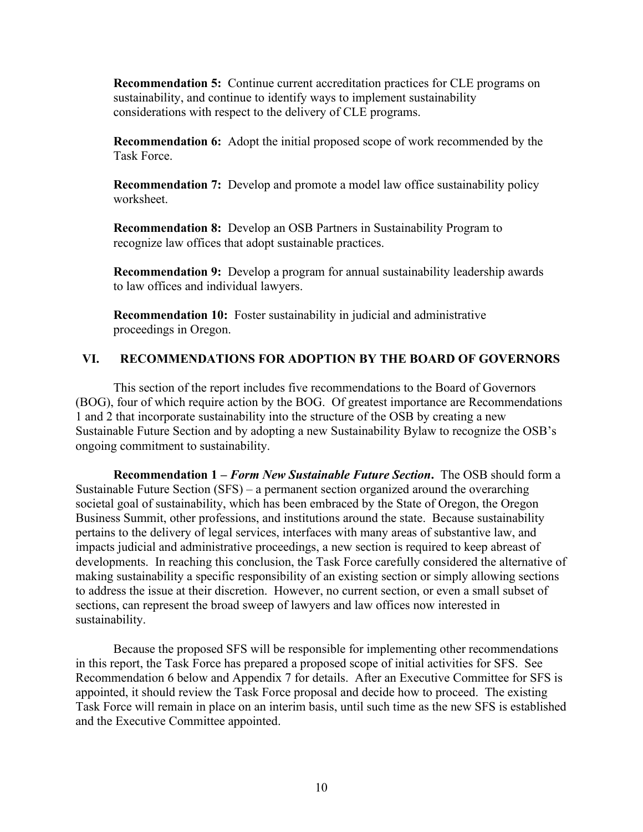**Recommendation 5:** Continue current accreditation practices for CLE programs on sustainability, and continue to identify ways to implement sustainability considerations with respect to the delivery of CLE programs.

**Recommendation 6:** Adopt the initial proposed scope of work recommended by the Task Force.

**Recommendation 7:** Develop and promote a model law office sustainability policy worksheet.

**Recommendation 8:** Develop an OSB Partners in Sustainability Program to recognize law offices that adopt sustainable practices.

**Recommendation 9:** Develop a program for annual sustainability leadership awards to law offices and individual lawyers.

**Recommendation 10:** Foster sustainability in judicial and administrative proceedings in Oregon.

### **VI. RECOMMENDATIONS FOR ADOPTION BY THE BOARD OF GOVERNORS**

This section of the report includes five recommendations to the Board of Governors (BOG), four of which require action by the BOG. Of greatest importance are Recommendations 1 and 2 that incorporate sustainability into the structure of the OSB by creating a new Sustainable Future Section and by adopting a new Sustainability Bylaw to recognize the OSB's ongoing commitment to sustainability.

**Recommendation 1 –** *Form New Sustainable Future Section***.** The OSB should form a Sustainable Future Section (SFS) – a permanent section organized around the overarching societal goal of sustainability, which has been embraced by the State of Oregon, the Oregon Business Summit, other professions, and institutions around the state. Because sustainability pertains to the delivery of legal services, interfaces with many areas of substantive law, and impacts judicial and administrative proceedings, a new section is required to keep abreast of developments. In reaching this conclusion, the Task Force carefully considered the alternative of making sustainability a specific responsibility of an existing section or simply allowing sections to address the issue at their discretion. However, no current section, or even a small subset of sections, can represent the broad sweep of lawyers and law offices now interested in sustainability.

Because the proposed SFS will be responsible for implementing other recommendations in this report, the Task Force has prepared a proposed scope of initial activities for SFS. See Recommendation 6 below and Appendix 7 for details. After an Executive Committee for SFS is appointed, it should review the Task Force proposal and decide how to proceed. The existing Task Force will remain in place on an interim basis, until such time as the new SFS is established and the Executive Committee appointed.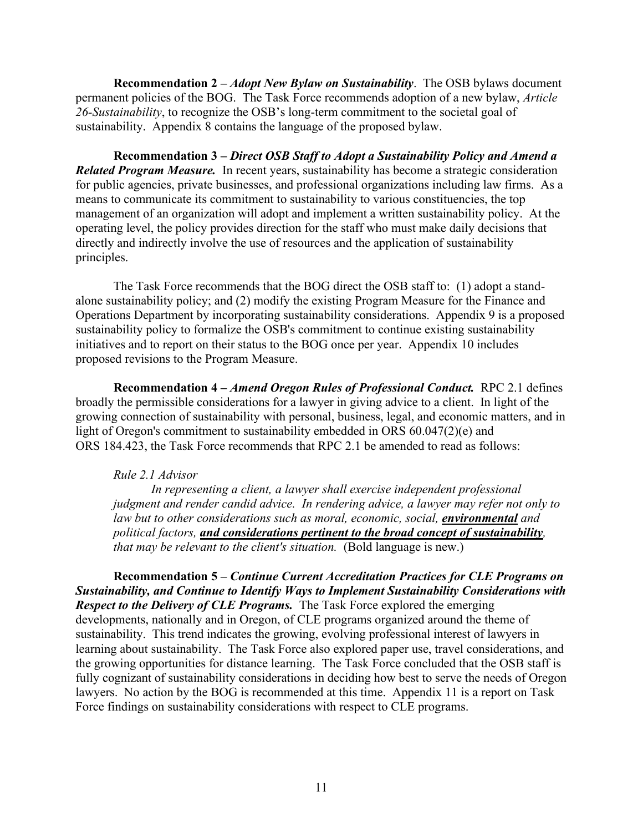**Recommendation 2 –** *Adopt New Bylaw on Sustainability*. The OSB bylaws document permanent policies of the BOG. The Task Force recommends adoption of a new bylaw, *Article 26-Sustainability*, to recognize the OSB's long-term commitment to the societal goal of sustainability. Appendix 8 contains the language of the proposed bylaw.

**Recommendation 3 –** *Direct OSB Staff to Adopt a Sustainability Policy and Amend a Related Program Measure.* In recent years, sustainability has become a strategic consideration for public agencies, private businesses, and professional organizations including law firms. As a means to communicate its commitment to sustainability to various constituencies, the top management of an organization will adopt and implement a written sustainability policy. At the operating level, the policy provides direction for the staff who must make daily decisions that directly and indirectly involve the use of resources and the application of sustainability principles.

The Task Force recommends that the BOG direct the OSB staff to: (1) adopt a standalone sustainability policy; and (2) modify the existing Program Measure for the Finance and Operations Department by incorporating sustainability considerations. Appendix 9 is a proposed sustainability policy to formalize the OSB's commitment to continue existing sustainability initiatives and to report on their status to the BOG once per year. Appendix 10 includes proposed revisions to the Program Measure.

**Recommendation 4 –** *Amend Oregon Rules of Professional Conduct.* RPC 2.1 defines broadly the permissible considerations for a lawyer in giving advice to a client. In light of the growing connection of sustainability with personal, business, legal, and economic matters, and in light of Oregon's commitment to sustainability embedded in ORS 60.047(2)(e) and ORS 184.423, the Task Force recommends that RPC 2.1 be amended to read as follows:

#### *Rule 2.1 Advisor*

*In representing a client, a lawyer shall exercise independent professional judgment and render candid advice. In rendering advice, a lawyer may refer not only to*  law but to other considerations such as moral, economic, social, **environmental** and *political factors, and considerations pertinent to the broad concept of sustainability, that may be relevant to the client's situation.* (Bold language is new.)

**Recommendation 5 –** *Continue Current Accreditation Practices for CLE Programs on Sustainability, and Continue to Identify Ways to Implement Sustainability Considerations with Respect to the Delivery of CLE Programs.* The Task Force explored the emerging developments, nationally and in Oregon, of CLE programs organized around the theme of sustainability. This trend indicates the growing, evolving professional interest of lawyers in learning about sustainability. The Task Force also explored paper use, travel considerations, and the growing opportunities for distance learning. The Task Force concluded that the OSB staff is fully cognizant of sustainability considerations in deciding how best to serve the needs of Oregon lawyers. No action by the BOG is recommended at this time. Appendix 11 is a report on Task Force findings on sustainability considerations with respect to CLE programs.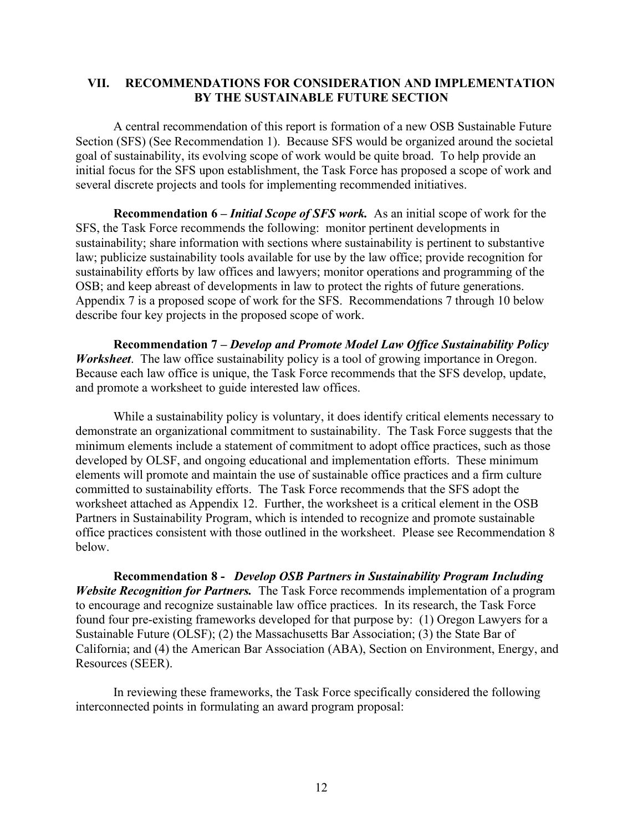### **VII. RECOMMENDATIONS FOR CONSIDERATION AND IMPLEMENTATION BY THE SUSTAINABLE FUTURE SECTION**

A central recommendation of this report is formation of a new OSB Sustainable Future Section (SFS) (See Recommendation 1). Because SFS would be organized around the societal goal of sustainability, its evolving scope of work would be quite broad. To help provide an initial focus for the SFS upon establishment, the Task Force has proposed a scope of work and several discrete projects and tools for implementing recommended initiatives.

**Recommendation 6 –** *Initial Scope of SFS work.* As an initial scope of work for the SFS, the Task Force recommends the following: monitor pertinent developments in sustainability; share information with sections where sustainability is pertinent to substantive law; publicize sustainability tools available for use by the law office; provide recognition for sustainability efforts by law offices and lawyers; monitor operations and programming of the OSB; and keep abreast of developments in law to protect the rights of future generations. Appendix 7 is a proposed scope of work for the SFS. Recommendations 7 through 10 below describe four key projects in the proposed scope of work.

**Recommendation 7** *– Develop and Promote Model Law Office Sustainability Policy Worksheet*. The law office sustainability policy is a tool of growing importance in Oregon. Because each law office is unique, the Task Force recommends that the SFS develop, update, and promote a worksheet to guide interested law offices.

While a sustainability policy is voluntary, it does identify critical elements necessary to demonstrate an organizational commitment to sustainability. The Task Force suggests that the minimum elements include a statement of commitment to adopt office practices, such as those developed by OLSF, and ongoing educational and implementation efforts. These minimum elements will promote and maintain the use of sustainable office practices and a firm culture committed to sustainability efforts. The Task Force recommends that the SFS adopt the worksheet attached as Appendix 12. Further, the worksheet is a critical element in the OSB Partners in Sustainability Program, which is intended to recognize and promote sustainable office practices consistent with those outlined in the worksheet. Please see Recommendation 8 below.

**Recommendation 8 -** *Develop OSB Partners in Sustainability Program Including Website Recognition for Partners.* The Task Force recommends implementation of a program to encourage and recognize sustainable law office practices. In its research, the Task Force found four pre-existing frameworks developed for that purpose by: (1) Oregon Lawyers for a Sustainable Future (OLSF); (2) the Massachusetts Bar Association; (3) the State Bar of California; and (4) the American Bar Association (ABA), Section on Environment, Energy, and Resources (SEER).

In reviewing these frameworks, the Task Force specifically considered the following interconnected points in formulating an award program proposal: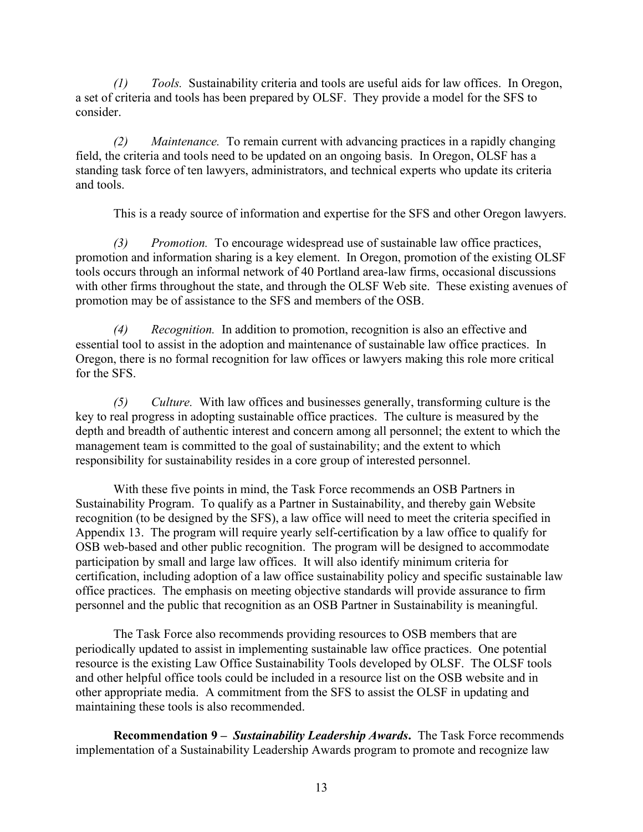*(1) Tools.* Sustainability criteria and tools are useful aids for law offices. In Oregon, a set of criteria and tools has been prepared by OLSF. They provide a model for the SFS to consider.

*(2) Maintenance.* To remain current with advancing practices in a rapidly changing field, the criteria and tools need to be updated on an ongoing basis. In Oregon, OLSF has a standing task force of ten lawyers, administrators, and technical experts who update its criteria and tools.

This is a ready source of information and expertise for the SFS and other Oregon lawyers.

*(3) Promotion.* To encourage widespread use of sustainable law office practices, promotion and information sharing is a key element. In Oregon, promotion of the existing OLSF tools occurs through an informal network of 40 Portland area-law firms, occasional discussions with other firms throughout the state, and through the OLSF Web site. These existing avenues of promotion may be of assistance to the SFS and members of the OSB.

*(4) Recognition.* In addition to promotion, recognition is also an effective and essential tool to assist in the adoption and maintenance of sustainable law office practices. In Oregon, there is no formal recognition for law offices or lawyers making this role more critical for the SFS.

*(5) Culture.* With law offices and businesses generally, transforming culture is the key to real progress in adopting sustainable office practices. The culture is measured by the depth and breadth of authentic interest and concern among all personnel; the extent to which the management team is committed to the goal of sustainability; and the extent to which responsibility for sustainability resides in a core group of interested personnel.

With these five points in mind, the Task Force recommends an OSB Partners in Sustainability Program. To qualify as a Partner in Sustainability, and thereby gain Website recognition (to be designed by the SFS), a law office will need to meet the criteria specified in Appendix 13. The program will require yearly self-certification by a law office to qualify for OSB web-based and other public recognition. The program will be designed to accommodate participation by small and large law offices. It will also identify minimum criteria for certification, including adoption of a law office sustainability policy and specific sustainable law office practices. The emphasis on meeting objective standards will provide assurance to firm personnel and the public that recognition as an OSB Partner in Sustainability is meaningful.

The Task Force also recommends providing resources to OSB members that are periodically updated to assist in implementing sustainable law office practices. One potential resource is the existing Law Office Sustainability Tools developed by OLSF. The OLSF tools and other helpful office tools could be included in a resource list on the OSB website and in other appropriate media. A commitment from the SFS to assist the OLSF in updating and maintaining these tools is also recommended.

**Recommendation 9** *– Sustainability Leadership Awards***.** The Task Force recommends implementation of a Sustainability Leadership Awards program to promote and recognize law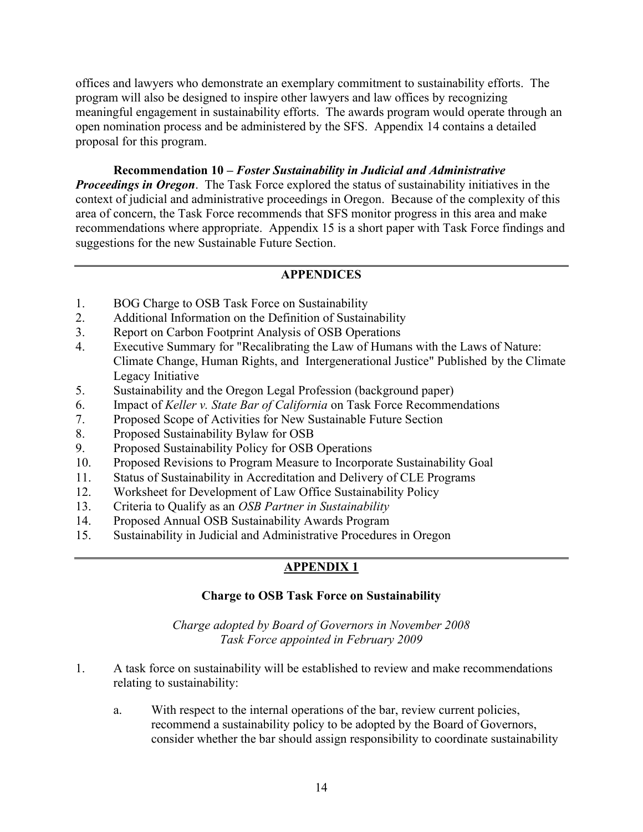offices and lawyers who demonstrate an exemplary commitment to sustainability efforts. The program will also be designed to inspire other lawyers and law offices by recognizing meaningful engagement in sustainability efforts. The awards program would operate through an open nomination process and be administered by the SFS. Appendix 14 contains a detailed proposal for this program.

**Recommendation 10** *– Foster Sustainability in Judicial and Administrative Proceedings in Oregon*. The Task Force explored the status of sustainability initiatives in the context of judicial and administrative proceedings in Oregon. Because of the complexity of this area of concern, the Task Force recommends that SFS monitor progress in this area and make recommendations where appropriate. Appendix 15 is a short paper with Task Force findings and suggestions for the new Sustainable Future Section.

### **APPENDICES**

- 1. BOG Charge to OSB Task Force on Sustainability
- 2. Additional Information on the Definition of Sustainability
- 3. Report on Carbon Footprint Analysis of OSB Operations
- 4. Executive Summary for "Recalibrating the Law of Humans with the Laws of Nature: Climate Change, Human Rights, and Intergenerational Justice" Published by the Climate Legacy Initiative
- 5. Sustainability and the Oregon Legal Profession (background paper)
- 6. Impact of *Keller v. State Bar of California* on Task Force Recommendations
- 7. Proposed Scope of Activities for New Sustainable Future Section
- 8. Proposed Sustainability Bylaw for OSB
- 9. Proposed Sustainability Policy for OSB Operations
- 10. Proposed Revisions to Program Measure to Incorporate Sustainability Goal
- 11. Status of Sustainability in Accreditation and Delivery of CLE Programs
- 12. Worksheet for Development of Law Office Sustainability Policy
- 13. Criteria to Qualify as an *OSB Partner in Sustainability*
- 14. Proposed Annual OSB Sustainability Awards Program
- 15. Sustainability in Judicial and Administrative Procedures in Oregon

# **APPENDIX 1**

### **Charge to OSB Task Force on Sustainability**

*Charge adopted by Board of Governors in November 2008 Task Force appointed in February 2009*

- 1. A task force on sustainability will be established to review and make recommendations relating to sustainability:
	- a. With respect to the internal operations of the bar, review current policies, recommend a sustainability policy to be adopted by the Board of Governors, consider whether the bar should assign responsibility to coordinate sustainability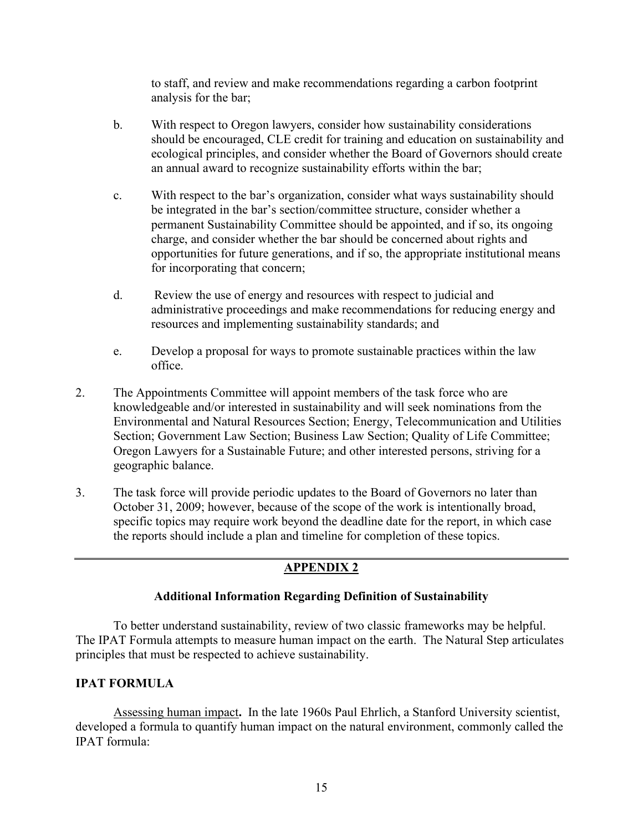to staff, and review and make recommendations regarding a carbon footprint analysis for the bar;

- b. With respect to Oregon lawyers, consider how sustainability considerations should be encouraged, CLE credit for training and education on sustainability and ecological principles, and consider whether the Board of Governors should create an annual award to recognize sustainability efforts within the bar;
- c. With respect to the bar's organization, consider what ways sustainability should be integrated in the bar's section/committee structure, consider whether a permanent Sustainability Committee should be appointed, and if so, its ongoing charge, and consider whether the bar should be concerned about rights and opportunities for future generations, and if so, the appropriate institutional means for incorporating that concern;
- d. Review the use of energy and resources with respect to judicial and administrative proceedings and make recommendations for reducing energy and resources and implementing sustainability standards; and
- e. Develop a proposal for ways to promote sustainable practices within the law office.
- 2. The Appointments Committee will appoint members of the task force who are knowledgeable and/or interested in sustainability and will seek nominations from the Environmental and Natural Resources Section; Energy, Telecommunication and Utilities Section; Government Law Section; Business Law Section; Quality of Life Committee; Oregon Lawyers for a Sustainable Future; and other interested persons, striving for a geographic balance.
- 3. The task force will provide periodic updates to the Board of Governors no later than October 31, 2009; however, because of the scope of the work is intentionally broad, specific topics may require work beyond the deadline date for the report, in which case the reports should include a plan and timeline for completion of these topics.

# **APPENDIX 2**

### **Additional Information Regarding Definition of Sustainability**

To better understand sustainability, review of two classic frameworks may be helpful. The IPAT Formula attempts to measure human impact on the earth. The Natural Step articulates principles that must be respected to achieve sustainability.

### **IPAT FORMULA**

Assessing human impact**.** In the late 1960s Paul Ehrlich, a Stanford University scientist, developed a formula to quantify human impact on the natural environment, commonly called the IPAT formula: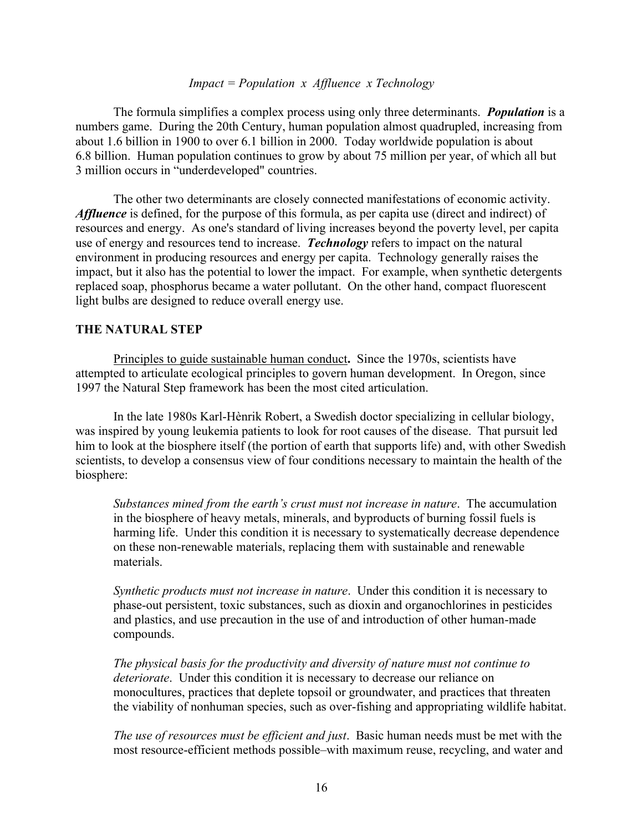#### *Impact = Population x Affluence x Technology*

The formula simplifies a complex process using only three determinants. *Population* is a numbers game. During the 20th Century, human population almost quadrupled, increasing from about 1.6 billion in 1900 to over 6.1 billion in 2000. Today worldwide population is about 6.8 billion. Human population continues to grow by about 75 million per year, of which all but 3 million occurs in "underdeveloped" countries.

The other two determinants are closely connected manifestations of economic activity. *Affluence* is defined, for the purpose of this formula, as per capita use (direct and indirect) of resources and energy. As one's standard of living increases beyond the poverty level, per capita use of energy and resources tend to increase. *Technology* refers to impact on the natural environment in producing resources and energy per capita. Technology generally raises the impact, but it also has the potential to lower the impact. For example, when synthetic detergents replaced soap, phosphorus became a water pollutant. On the other hand, compact fluorescent light bulbs are designed to reduce overall energy use.

#### **THE NATURAL STEP**

Principles to guide sustainable human conduct**.** Since the 1970s, scientists have attempted to articulate ecological principles to govern human development. In Oregon, since 1997 the Natural Step framework has been the most cited articulation.

In the late 1980s Karl-Hènrik Robert, a Swedish doctor specializing in cellular biology, was inspired by young leukemia patients to look for root causes of the disease. That pursuit led him to look at the biosphere itself (the portion of earth that supports life) and, with other Swedish scientists, to develop a consensus view of four conditions necessary to maintain the health of the biosphere:

*Substances mined from the earth's crust must not increase in nature*. The accumulation in the biosphere of heavy metals, minerals, and byproducts of burning fossil fuels is harming life. Under this condition it is necessary to systematically decrease dependence on these non-renewable materials, replacing them with sustainable and renewable materials.

*Synthetic products must not increase in nature*. Under this condition it is necessary to phase-out persistent, toxic substances, such as dioxin and organochlorines in pesticides and plastics, and use precaution in the use of and introduction of other human-made compounds.

*The physical basis for the productivity and diversity of nature must not continue to deteriorate*. Under this condition it is necessary to decrease our reliance on monocultures, practices that deplete topsoil or groundwater, and practices that threaten the viability of nonhuman species, such as over-fishing and appropriating wildlife habitat.

*The use of resources must be efficient and just*. Basic human needs must be met with the most resource-efficient methods possible–with maximum reuse, recycling, and water and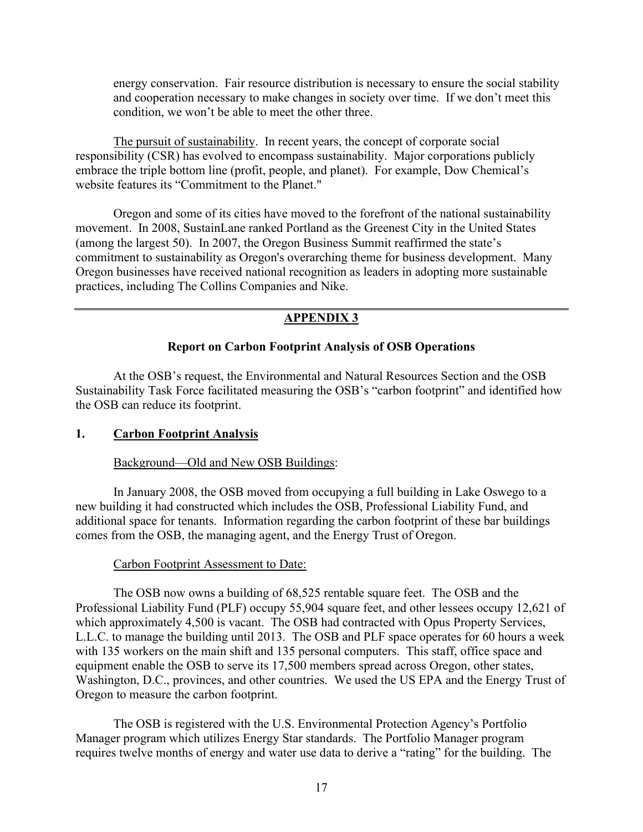energy conservation. Fair resource distribution is necessary to ensure the social stability and cooperation necessary to make changes in society over time. If we don't meet this condition, we won't be able to meet the other three.

The pursuit of sustainability.In recent years, the concept of corporate social responsibility (CSR) has evolved to encompass sustainability. Major corporations publicly embrace the triple bottom line (profit, people, and planet). For example, Dow Chemical's website features its "Commitment to the Planet."

Oregon and some of its cities have moved to the forefront of the national sustainability movement. In 2008, SustainLane ranked Portland as the Greenest City in the United States (among the largest 50). In 2007, the Oregon Business Summit reaffirmed the state's commitment to sustainability as Oregon's overarching theme for business development. Many Oregon businesses have received national recognition as leaders in adopting more sustainable practices, including The Collins Companies and Nike.

### **APPENDIX 3**

#### **Report on Carbon Footprint Analysis of OSB Operations**

At the OSB's request, the Environmental and Natural Resources Section and the OSB Sustainability Task Force facilitated measuring the OSB's "carbon footprint" and identified how the OSB can reduce its footprint.

#### **1. Carbon Footprint Analysis**

#### Background—Old and New OSB Buildings:

In January 2008, the OSB moved from occupying a full building in Lake Oswego to a new building it had constructed which includes the OSB, Professional Liability Fund, and additional space for tenants. Information regarding the carbon footprint of these bar buildings comes from the OSB, the managing agent, and the Energy Trust of Oregon.

#### Carbon Footprint Assessment to Date:

The OSB now owns a building of 68,525 rentable square feet. The OSB and the Professional Liability Fund (PLF) occupy 55,904 square feet, and other lessees occupy 12,621 of which approximately 4,500 is vacant. The OSB had contracted with Opus Property Services, L.L.C. to manage the building until 2013. The OSB and PLF space operates for 60 hours a week with 135 workers on the main shift and 135 personal computers. This staff, office space and equipment enable the OSB to serve its 17,500 members spread across Oregon, other states, Washington, D.C., provinces, and other countries. We used the US EPA and the Energy Trust of Oregon to measure the carbon footprint.

The OSB is registered with the U.S. Environmental Protection Agency's Portfolio Manager program which utilizes Energy Star standards. The Portfolio Manager program requires twelve months of energy and water use data to derive a "rating" for the building. The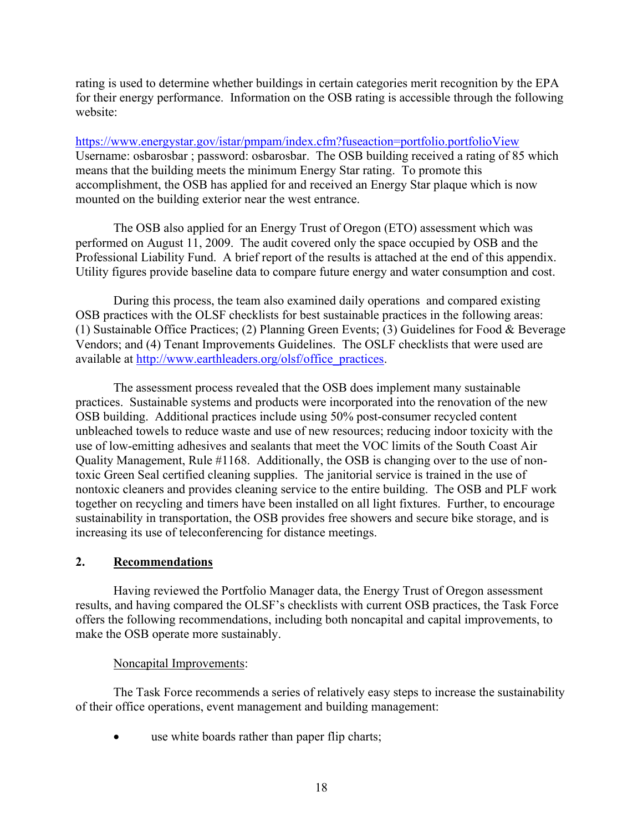rating is used to determine whether buildings in certain categories merit recognition by the EPA for their energy performance. Information on the OSB rating is accessible through the following website:

https://www.energystar.gov/istar/pmpam/index.cfm?fuseaction=portfolio.portfolioView Username: osbarosbar ; password: osbarosbar. The OSB building received a rating of 85 which means that the building meets the minimum Energy Star rating. To promote this accomplishment, the OSB has applied for and received an Energy Star plaque which is now mounted on the building exterior near the west entrance.

The OSB also applied for an Energy Trust of Oregon (ETO) assessment which was performed on August 11, 2009. The audit covered only the space occupied by OSB and the Professional Liability Fund. A brief report of the results is attached at the end of this appendix. Utility figures provide baseline data to compare future energy and water consumption and cost.

During this process, the team also examined daily operations and compared existing OSB practices with the OLSF checklists for best sustainable practices in the following areas: (1) Sustainable Office Practices; (2) Planning Green Events; (3) Guidelines for Food & Beverage Vendors; and (4) Tenant Improvements Guidelines. The OSLF checklists that were used are available at [http://www.earthleaders.org/olsf/office\\_practices.](http://www.earthleaders.org/olsf/office_practices)

The assessment process revealed that the OSB does implement many sustainable practices. Sustainable systems and products were incorporated into the renovation of the new OSB building. Additional practices include using 50% post-consumer recycled content unbleached towels to reduce waste and use of new resources; reducing indoor toxicity with the use of low-emitting adhesives and sealants that meet the VOC limits of the South Coast Air Quality Management, Rule #1168. Additionally, the OSB is changing over to the use of nontoxic Green Seal certified cleaning supplies. The janitorial service is trained in the use of nontoxic cleaners and provides cleaning service to the entire building. The OSB and PLF work together on recycling and timers have been installed on all light fixtures. Further, to encourage sustainability in transportation, the OSB provides free showers and secure bike storage, and is increasing its use of teleconferencing for distance meetings.

### **2. Recommendations**

Having reviewed the Portfolio Manager data, the Energy Trust of Oregon assessment results, and having compared the OLSF's checklists with current OSB practices, the Task Force offers the following recommendations, including both noncapital and capital improvements, to make the OSB operate more sustainably.

### Noncapital Improvements:

The Task Force recommends a series of relatively easy steps to increase the sustainability of their office operations, event management and building management:

use white boards rather than paper flip charts;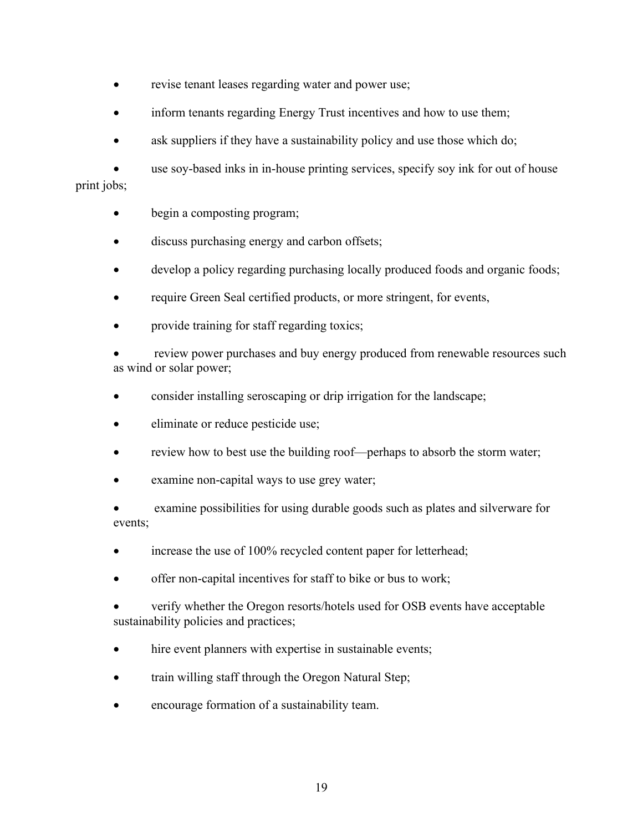- revise tenant leases regarding water and power use;
- inform tenants regarding Energy Trust incentives and how to use them;
- ask suppliers if they have a sustainability policy and use those which do;

• use soy-based inks in in-house printing services, specify soy ink for out of house print jobs;

- begin a composting program;
- discuss purchasing energy and carbon offsets;
- develop a policy regarding purchasing locally produced foods and organic foods;
- require Green Seal certified products, or more stringent, for events,
- provide training for staff regarding toxics;

review power purchases and buy energy produced from renewable resources such as wind or solar power;

- consider installing seroscaping or drip irrigation for the landscape;
- eliminate or reduce pesticide use;
- review how to best use the building roof—perhaps to absorb the storm water;
- examine non-capital ways to use grey water;

examine possibilities for using durable goods such as plates and silverware for events;

- increase the use of 100% recycled content paper for letterhead;
- offer non-capital incentives for staff to bike or bus to work;

• verify whether the Oregon resorts/hotels used for OSB events have acceptable sustainability policies and practices;

- hire event planners with expertise in sustainable events;
- train willing staff through the Oregon Natural Step;
- encourage formation of a sustainability team.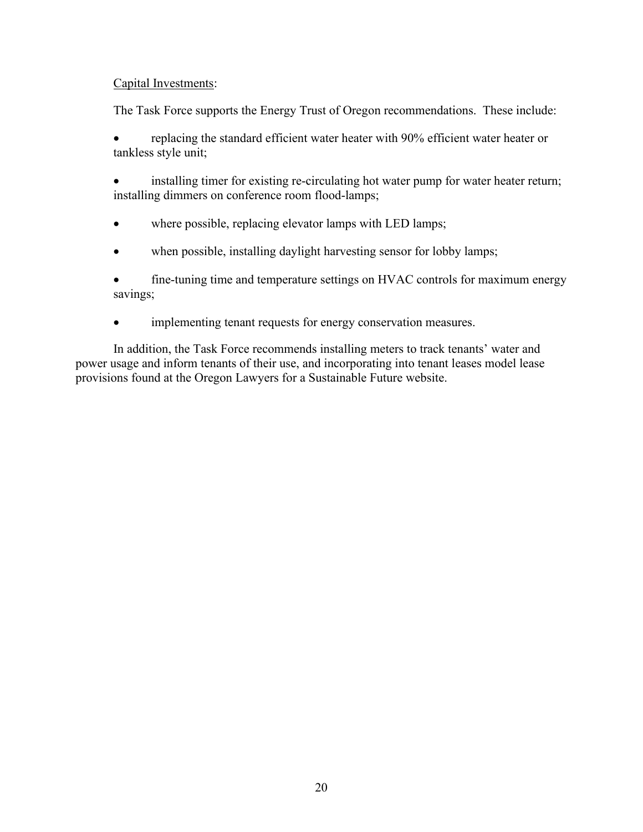### Capital Investments:

The Task Force supports the Energy Trust of Oregon recommendations. These include:

• replacing the standard efficient water heater with 90% efficient water heater or tankless style unit;

installing timer for existing re-circulating hot water pump for water heater return; installing dimmers on conference room flood-lamps;

- where possible, replacing elevator lamps with LED lamps;
- when possible, installing daylight harvesting sensor for lobby lamps;

• fine-tuning time and temperature settings on HVAC controls for maximum energy savings;

• implementing tenant requests for energy conservation measures.

In addition, the Task Force recommends installing meters to track tenants' water and power usage and inform tenants of their use, and incorporating into tenant leases model lease provisions found at the Oregon Lawyers for a Sustainable Future website.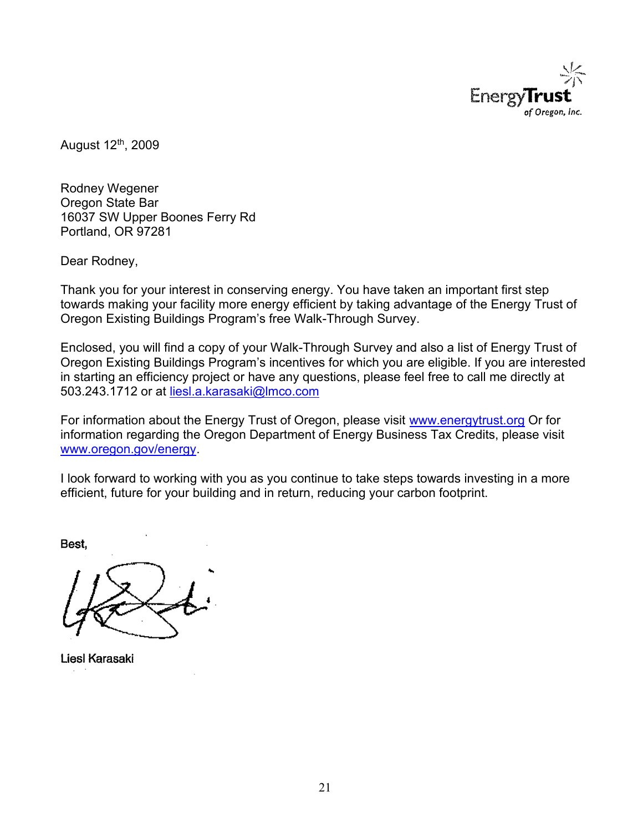

August 12th, 2009

Rodney Wegener Oregon State Bar 16037 SW Upper Boones Ferry Rd Portland, OR 97281

Dear Rodney,

Thank you for your interest in conserving energy. You have taken an important first step towards making your facility more energy efficient by taking advantage of the Energy Trust of Oregon Existing Buildings Program's free Walk-Through Survey.

Enclosed, you will find a copy of your Walk-Through Survey and also a list of Energy Trust of Oregon Existing Buildings Program's incentives for which you are eligible. If you are interested in starting an efficiency project or have any questions, please feel free to call me directly at 503.243.1712 or at [liesl.a.karasaki@lmco.com](mailto:liesl.a.karasaki@lmco.com)

For information about the Energy Trust of Oregon, please visit [www.energytrust.org](http://www.energytrust.org/) Or for information regarding the Oregon Department of Energy Business Tax Credits, please visit [www.oregon.gov/energy.](http://www.oregon.gov/energy)

I look forward to working with you as you continue to take steps towards investing in a more efficient, future for your building and in return, reducing your carbon footprint.

Best,

Liesl Karasaki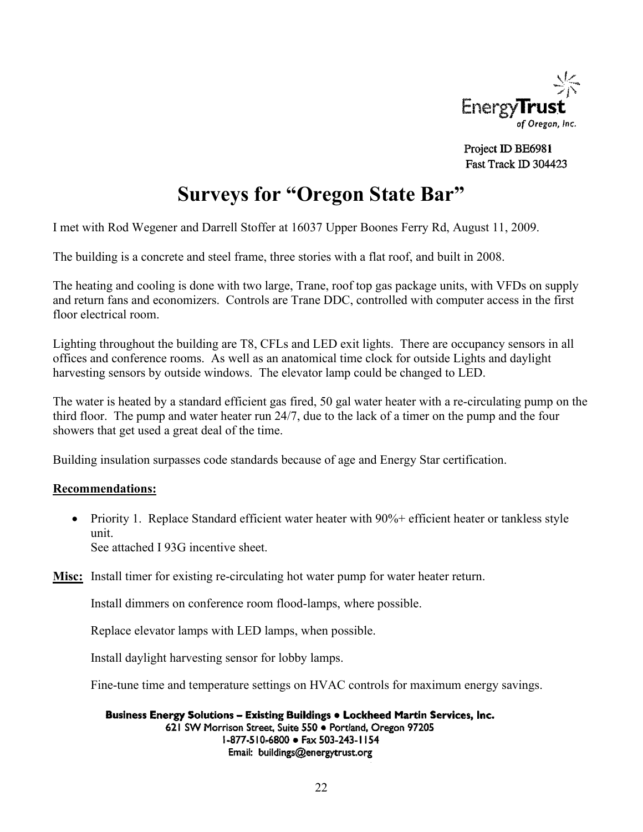

Project ID BE6981 Fast Track ID 304423

# **Surveys for "Oregon State Bar"**

I met with Rod Wegener and Darrell Stoffer at 16037 Upper Boones Ferry Rd, August 11, 2009.

The building is a concrete and steel frame, three stories with a flat roof, and built in 2008.

The heating and cooling is done with two large, Trane, roof top gas package units, with VFDs on supply and return fans and economizers. Controls are Trane DDC, controlled with computer access in the first floor electrical room.

Lighting throughout the building are T8, CFLs and LED exit lights. There are occupancy sensors in all offices and conference rooms. As well as an anatomical time clock for outside Lights and daylight harvesting sensors by outside windows. The elevator lamp could be changed to LED.

The water is heated by a standard efficient gas fired, 50 gal water heater with a re-circulating pump on the third floor. The pump and water heater run 24/7, due to the lack of a timer on the pump and the four showers that get used a great deal of the time.

Building insulation surpasses code standards because of age and Energy Star certification.

### **Recommendations:**

• Priority 1. Replace Standard efficient water heater with 90%+ efficient heater or tankless style unit. See attached I 93G incentive sheet.

**Misc:** Install timer for existing re-circulating hot water pump for water heater return.

Install dimmers on conference room flood-lamps, where possible.

Replace elevator lamps with LED lamps, when possible.

Install daylight harvesting sensor for lobby lamps.

Fine-tune time and temperature settings on HVAC controls for maximum energy savings.

Business Energy Solutions - Existing Buildings . Lockheed Martin Services, Inc. 621 SW Morrison Street, Suite 550 · Portland, Oregon 97205 I-877-510-6800 · Fax 503-243-1154 Email: buildings@energytrust.org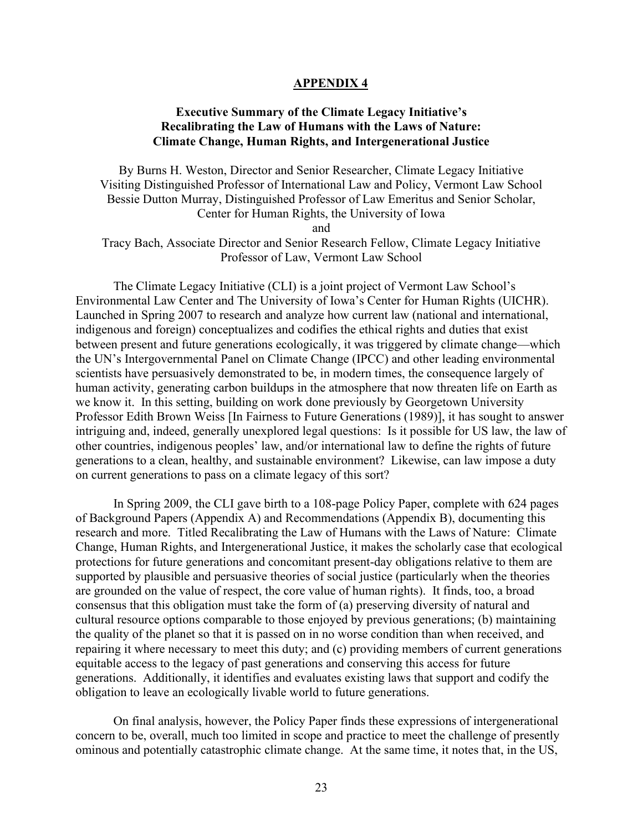#### **APPENDIX 4**

### **Executive Summary of the Climate Legacy Initiative's Recalibrating the Law of Humans with the Laws of Nature: Climate Change, Human Rights, and Intergenerational Justice**

By Burns H. Weston, Director and Senior Researcher, Climate Legacy Initiative Visiting Distinguished Professor of International Law and Policy, Vermont Law School Bessie Dutton Murray, Distinguished Professor of Law Emeritus and Senior Scholar, Center for Human Rights, the University of Iowa and Tracy Bach, Associate Director and Senior Research Fellow, Climate Legacy Initiative Professor of Law, Vermont Law School

The Climate Legacy Initiative (CLI) is a joint project of Vermont Law School's Environmental Law Center and The University of Iowa's Center for Human Rights (UICHR). Launched in Spring 2007 to research and analyze how current law (national and international, indigenous and foreign) conceptualizes and codifies the ethical rights and duties that exist between present and future generations ecologically, it was triggered by climate change—which the UN's Intergovernmental Panel on Climate Change (IPCC) and other leading environmental scientists have persuasively demonstrated to be, in modern times, the consequence largely of human activity, generating carbon buildups in the atmosphere that now threaten life on Earth as we know it. In this setting, building on work done previously by Georgetown University Professor Edith Brown Weiss [In Fairness to Future Generations (1989)], it has sought to answer intriguing and, indeed, generally unexplored legal questions: Is it possible for US law, the law of other countries, indigenous peoples' law, and/or international law to define the rights of future generations to a clean, healthy, and sustainable environment? Likewise, can law impose a duty on current generations to pass on a climate legacy of this sort?

In Spring 2009, the CLI gave birth to a 108-page Policy Paper, complete with 624 pages of Background Papers (Appendix A) and Recommendations (Appendix B), documenting this research and more. Titled Recalibrating the Law of Humans with the Laws of Nature: Climate Change, Human Rights, and Intergenerational Justice, it makes the scholarly case that ecological protections for future generations and concomitant present-day obligations relative to them are supported by plausible and persuasive theories of social justice (particularly when the theories are grounded on the value of respect, the core value of human rights). It finds, too, a broad consensus that this obligation must take the form of (a) preserving diversity of natural and cultural resource options comparable to those enjoyed by previous generations; (b) maintaining the quality of the planet so that it is passed on in no worse condition than when received, and repairing it where necessary to meet this duty; and (c) providing members of current generations equitable access to the legacy of past generations and conserving this access for future generations. Additionally, it identifies and evaluates existing laws that support and codify the obligation to leave an ecologically livable world to future generations.

On final analysis, however, the Policy Paper finds these expressions of intergenerational concern to be, overall, much too limited in scope and practice to meet the challenge of presently ominous and potentially catastrophic climate change. At the same time, it notes that, in the US,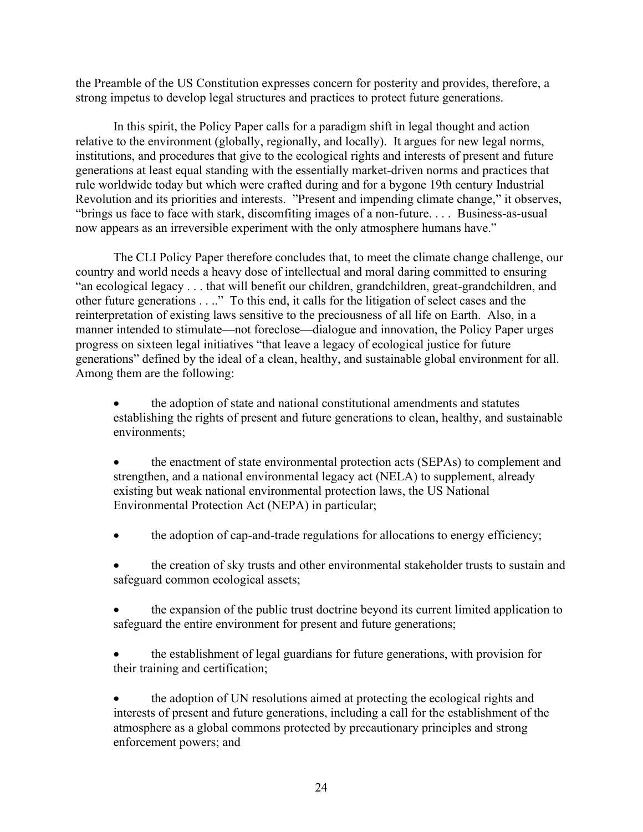the Preamble of the US Constitution expresses concern for posterity and provides, therefore, a strong impetus to develop legal structures and practices to protect future generations.

In this spirit, the Policy Paper calls for a paradigm shift in legal thought and action relative to the environment (globally, regionally, and locally). It argues for new legal norms, institutions, and procedures that give to the ecological rights and interests of present and future generations at least equal standing with the essentially market-driven norms and practices that rule worldwide today but which were crafted during and for a bygone 19th century Industrial Revolution and its priorities and interests. "Present and impending climate change," it observes, "brings us face to face with stark, discomfiting images of a non-future. . . . Business-as-usual now appears as an irreversible experiment with the only atmosphere humans have."

The CLI Policy Paper therefore concludes that, to meet the climate change challenge, our country and world needs a heavy dose of intellectual and moral daring committed to ensuring "an ecological legacy . . . that will benefit our children, grandchildren, great-grandchildren, and other future generations . . .." To this end, it calls for the litigation of select cases and the reinterpretation of existing laws sensitive to the preciousness of all life on Earth. Also, in a manner intended to stimulate—not foreclose—dialogue and innovation, the Policy Paper urges progress on sixteen legal initiatives "that leave a legacy of ecological justice for future generations" defined by the ideal of a clean, healthy, and sustainable global environment for all. Among them are the following:

• the adoption of state and national constitutional amendments and statutes establishing the rights of present and future generations to clean, healthy, and sustainable environments;

the enactment of state environmental protection acts (SEPAs) to complement and strengthen, and a national environmental legacy act (NELA) to supplement, already existing but weak national environmental protection laws, the US National Environmental Protection Act (NEPA) in particular;

- the adoption of cap-and-trade regulations for allocations to energy efficiency;
- the creation of sky trusts and other environmental stakeholder trusts to sustain and safeguard common ecological assets;
- the expansion of the public trust doctrine beyond its current limited application to safeguard the entire environment for present and future generations;
- the establishment of legal guardians for future generations, with provision for their training and certification;

• the adoption of UN resolutions aimed at protecting the ecological rights and interests of present and future generations, including a call for the establishment of the atmosphere as a global commons protected by precautionary principles and strong enforcement powers; and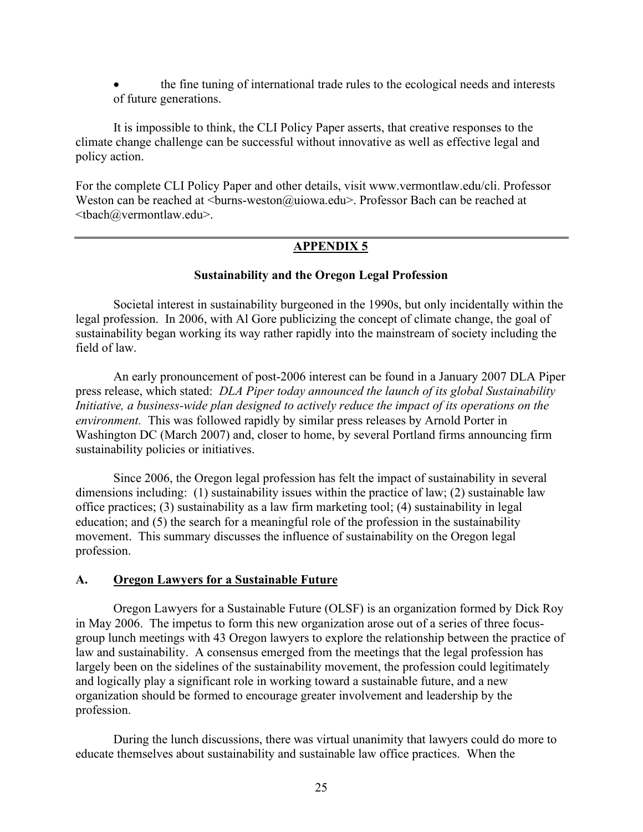• the fine tuning of international trade rules to the ecological needs and interests of future generations.

It is impossible to think, the CLI Policy Paper asserts, that creative responses to the climate change challenge can be successful without innovative as well as effective legal and policy action.

For the complete CLI Policy Paper and other details, visit www.vermontlaw.edu/cli. Professor Weston can be reached at  $\langle$ burns-weston@uiowa.edu>. Professor Bach can be reached at <tbach@vermontlaw.edu>.

### **APPENDIX 5**

#### **Sustainability and the Oregon Legal Profession**

Societal interest in sustainability burgeoned in the 1990s, but only incidentally within the legal profession. In 2006, with Al Gore publicizing the concept of climate change, the goal of sustainability began working its way rather rapidly into the mainstream of society including the field of law.

An early pronouncement of post-2006 interest can be found in a January 2007 DLA Piper press release, which stated: *DLA Piper today announced the launch of its global Sustainability Initiative, a business-wide plan designed to actively reduce the impact of its operations on the environment.* This was followed rapidly by similar press releases by Arnold Porter in Washington DC (March 2007) and, closer to home, by several Portland firms announcing firm sustainability policies or initiatives.

Since 2006, the Oregon legal profession has felt the impact of sustainability in several dimensions including: (1) sustainability issues within the practice of law; (2) sustainable law office practices; (3) sustainability as a law firm marketing tool; (4) sustainability in legal education; and (5) the search for a meaningful role of the profession in the sustainability movement. This summary discusses the influence of sustainability on the Oregon legal profession.

### **A. Oregon Lawyers for a Sustainable Future**

Oregon Lawyers for a Sustainable Future (OLSF) is an organization formed by Dick Roy in May 2006. The impetus to form this new organization arose out of a series of three focusgroup lunch meetings with 43 Oregon lawyers to explore the relationship between the practice of law and sustainability. A consensus emerged from the meetings that the legal profession has largely been on the sidelines of the sustainability movement, the profession could legitimately and logically play a significant role in working toward a sustainable future, and a new organization should be formed to encourage greater involvement and leadership by the profession.

During the lunch discussions, there was virtual unanimity that lawyers could do more to educate themselves about sustainability and sustainable law office practices. When the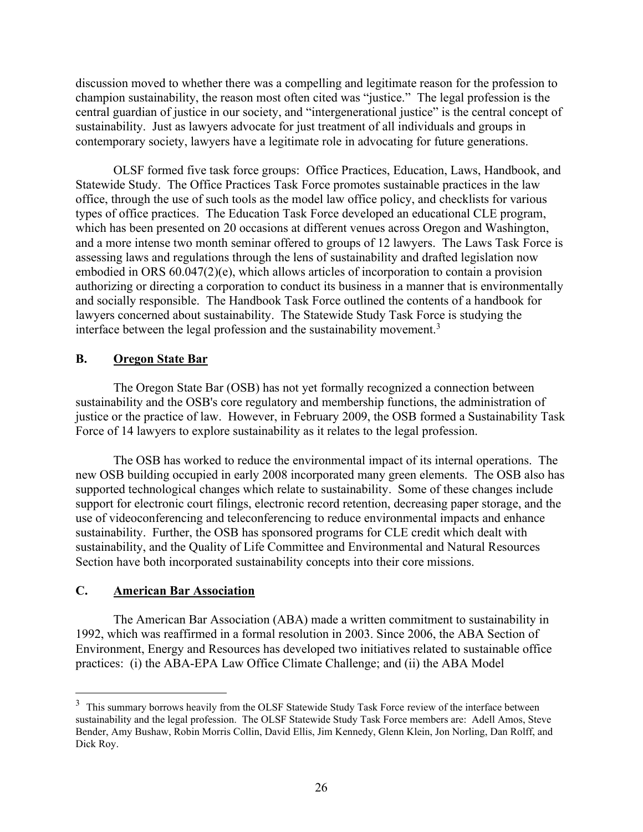discussion moved to whether there was a compelling and legitimate reason for the profession to champion sustainability, the reason most often cited was "justice." The legal profession is the central guardian of justice in our society, and "intergenerational justice" is the central concept of sustainability. Just as lawyers advocate for just treatment of all individuals and groups in contemporary society, lawyers have a legitimate role in advocating for future generations.

OLSF formed five task force groups: Office Practices, Education, Laws, Handbook, and Statewide Study. The Office Practices Task Force promotes sustainable practices in the law office, through the use of such tools as the model law office policy, and checklists for various types of office practices. The Education Task Force developed an educational CLE program, which has been presented on 20 occasions at different venues across Oregon and Washington, and a more intense two month seminar offered to groups of 12 lawyers. The Laws Task Force is assessing laws and regulations through the lens of sustainability and drafted legislation now embodied in ORS 60.047(2)(e), which allows articles of incorporation to contain a provision authorizing or directing a corporation to conduct its business in a manner that is environmentally and socially responsible. The Handbook Task Force outlined the contents of a handbook for lawyers concerned about sustainability. The Statewide Study Task Force is studying the interface between the legal profession and the sustainability movement.<sup>3</sup>

### **B. Oregon State Bar**

The Oregon State Bar (OSB) has not yet formally recognized a connection between sustainability and the OSB's core regulatory and membership functions, the administration of justice or the practice of law. However, in February 2009, the OSB formed a Sustainability Task Force of 14 lawyers to explore sustainability as it relates to the legal profession.

The OSB has worked to reduce the environmental impact of its internal operations. The new OSB building occupied in early 2008 incorporated many green elements. The OSB also has supported technological changes which relate to sustainability. Some of these changes include support for electronic court filings, electronic record retention, decreasing paper storage, and the use of videoconferencing and teleconferencing to reduce environmental impacts and enhance sustainability. Further, the OSB has sponsored programs for CLE credit which dealt with sustainability, and the Quality of Life Committee and Environmental and Natural Resources Section have both incorporated sustainability concepts into their core missions.

### **C. American Bar Association**

The American Bar Association (ABA) made a written commitment to sustainability in 1992, which was reaffirmed in a formal resolution in 2003. Since 2006, the ABA Section of Environment, Energy and Resources has developed two initiatives related to sustainable office practices: (i) the ABA-EPA Law Office Climate Challenge; and (ii) the ABA Model

<sup>&</sup>lt;sup>3</sup> This summary borrows heavily from the OLSF Statewide Study Task Force review of the interface between sustainability and the legal profession. The OLSF Statewide Study Task Force members are: Adell Amos, Steve Bender, Amy Bushaw, Robin Morris Collin, David Ellis, Jim Kennedy, Glenn Klein, Jon Norling, Dan Rolff, and Dick Roy.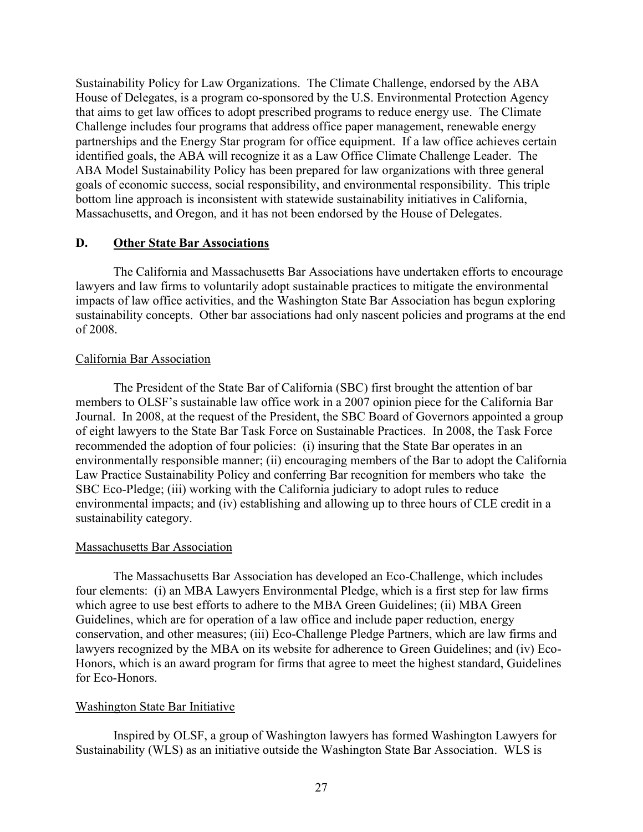Sustainability Policy for Law Organizations. The Climate Challenge, endorsed by the ABA House of Delegates, is a program co-sponsored by the U.S. Environmental Protection Agency that aims to get law offices to adopt prescribed programs to reduce energy use. The Climate Challenge includes four programs that address office paper management, renewable energy partnerships and the Energy Star program for office equipment. If a law office achieves certain identified goals, the ABA will recognize it as a Law Office Climate Challenge Leader. The ABA Model Sustainability Policy has been prepared for law organizations with three general goals of economic success, social responsibility, and environmental responsibility. This triple bottom line approach is inconsistent with statewide sustainability initiatives in California, Massachusetts, and Oregon, and it has not been endorsed by the House of Delegates.

### **D. Other State Bar Associations**

The California and Massachusetts Bar Associations have undertaken efforts to encourage lawyers and law firms to voluntarily adopt sustainable practices to mitigate the environmental impacts of law office activities, and the Washington State Bar Association has begun exploring sustainability concepts. Other bar associations had only nascent policies and programs at the end of 2008.

### California Bar Association

The President of the State Bar of California (SBC) first brought the attention of bar members to OLSF's sustainable law office work in a 2007 opinion piece for the California Bar Journal. In 2008, at the request of the President, the SBC Board of Governors appointed a group of eight lawyers to the State Bar Task Force on Sustainable Practices. In 2008, the Task Force recommended the adoption of four policies: (i) insuring that the State Bar operates in an environmentally responsible manner; (ii) encouraging members of the Bar to adopt the California Law Practice Sustainability Policy and conferring Bar recognition for members who take the SBC Eco-Pledge; (iii) working with the California judiciary to adopt rules to reduce environmental impacts; and (iv) establishing and allowing up to three hours of CLE credit in a sustainability category.

### Massachusetts Bar Association

The Massachusetts Bar Association has developed an Eco-Challenge, which includes four elements: (i) an MBA Lawyers Environmental Pledge, which is a first step for law firms which agree to use best efforts to adhere to the MBA Green Guidelines; (ii) MBA Green Guidelines, which are for operation of a law office and include paper reduction, energy conservation, and other measures; (iii) Eco-Challenge Pledge Partners, which are law firms and lawyers recognized by the MBA on its website for adherence to Green Guidelines; and (iv) Eco-Honors, which is an award program for firms that agree to meet the highest standard, Guidelines for Eco-Honors.

### Washington State Bar Initiative

Inspired by OLSF, a group of Washington lawyers has formed Washington Lawyers for Sustainability (WLS) as an initiative outside the Washington State Bar Association. WLS is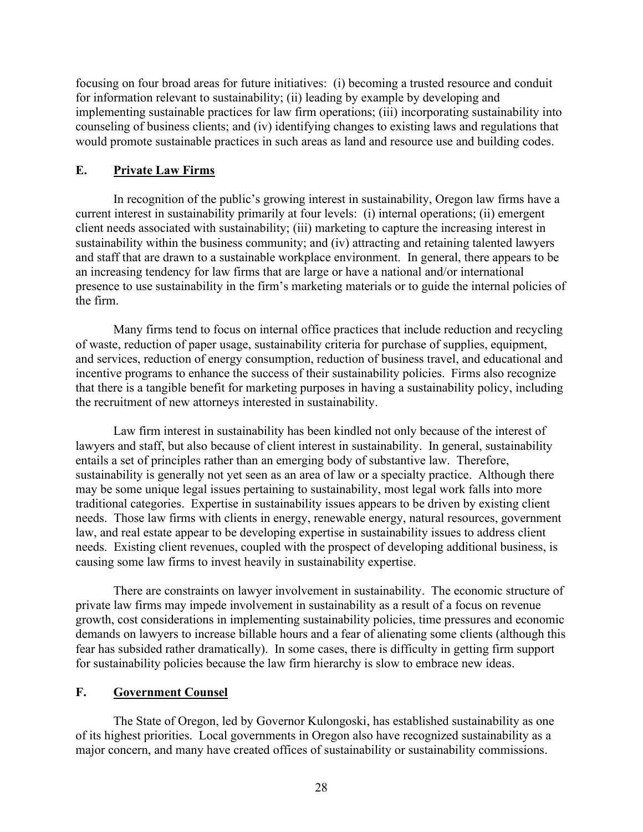focusing on four broad areas for future initiatives: (i) becoming a trusted resource and conduit for information relevant to sustainability; (ii) leading by example by developing and implementing sustainable practices for law firm operations; (iii) incorporating sustainability into counseling of business clients; and (iv) identifying changes to existing laws and regulations that would promote sustainable practices in such areas as land and resource use and building codes.

#### **E. Private Law Firms**

In recognition of the public's growing interest in sustainability, Oregon law firms have a current interest in sustainability primarily at four levels: (i) internal operations; (ii) emergent client needs associated with sustainability; (iii) marketing to capture the increasing interest in sustainability within the business community; and (iv) attracting and retaining talented lawyers and staff that are drawn to a sustainable workplace environment. In general, there appears to be an increasing tendency for law firms that are large or have a national and/or international presence to use sustainability in the firm's marketing materials or to guide the internal policies of the firm.

Many firms tend to focus on internal office practices that include reduction and recycling of waste, reduction of paper usage, sustainability criteria for purchase of supplies, equipment, and services, reduction of energy consumption, reduction of business travel, and educational and incentive programs to enhance the success of their sustainability policies. Firms also recognize that there is a tangible benefit for marketing purposes in having a sustainability policy, including the recruitment of new attorneys interested in sustainability.

Law firm interest in sustainability has been kindled not only because of the interest of lawyers and staff, but also because of client interest in sustainability. In general, sustainability entails a set of principles rather than an emerging body of substantive law. Therefore, sustainability is generally not yet seen as an area of law or a specialty practice. Although there may be some unique legal issues pertaining to sustainability, most legal work falls into more traditional categories. Expertise in sustainability issues appears to be driven by existing client needs. Those law firms with clients in energy, renewable energy, natural resources, government law, and real estate appear to be developing expertise in sustainability issues to address client needs. Existing client revenues, coupled with the prospect of developing additional business, is causing some law firms to invest heavily in sustainability expertise.

There are constraints on lawyer involvement in sustainability. The economic structure of private law firms may impede involvement in sustainability as a result of a focus on revenue growth, cost considerations in implementing sustainability policies, time pressures and economic demands on lawyers to increase billable hours and a fear of alienating some clients (although this fear has subsided rather dramatically). In some cases, there is difficulty in getting firm support for sustainability policies because the law firm hierarchy is slow to embrace new ideas.

### **F. Government Counsel**

The State of Oregon, led by Governor Kulongoski, has established sustainability as one of its highest priorities. Local governments in Oregon also have recognized sustainability as a major concern, and many have created offices of sustainability or sustainability commissions.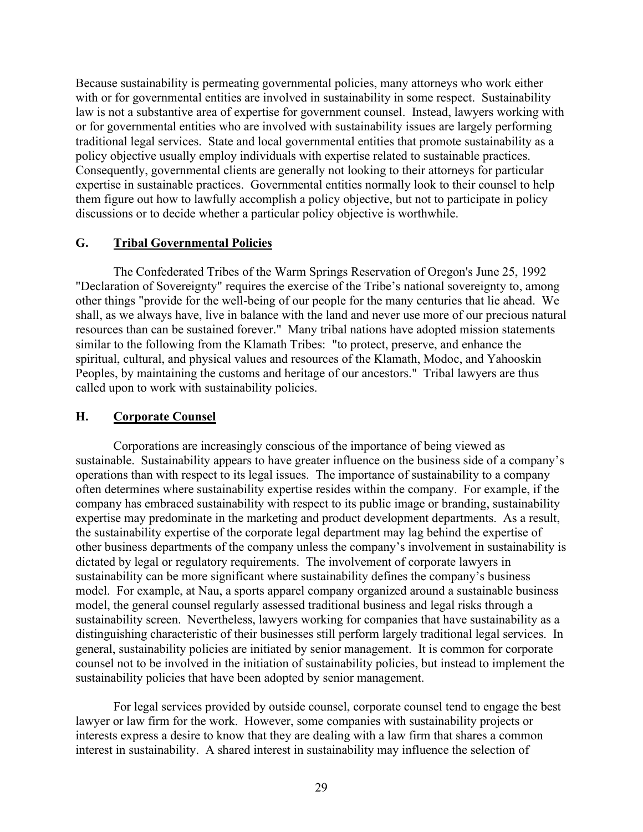Because sustainability is permeating governmental policies, many attorneys who work either with or for governmental entities are involved in sustainability in some respect. Sustainability law is not a substantive area of expertise for government counsel. Instead, lawyers working with or for governmental entities who are involved with sustainability issues are largely performing traditional legal services. State and local governmental entities that promote sustainability as a policy objective usually employ individuals with expertise related to sustainable practices. Consequently, governmental clients are generally not looking to their attorneys for particular expertise in sustainable practices. Governmental entities normally look to their counsel to help them figure out how to lawfully accomplish a policy objective, but not to participate in policy discussions or to decide whether a particular policy objective is worthwhile.

### **G. Tribal Governmental Policies**

The Confederated Tribes of the Warm Springs Reservation of Oregon's June 25, 1992 "Declaration of Sovereignty" requires the exercise of the Tribe's national sovereignty to, among other things "provide for the well-being of our people for the many centuries that lie ahead. We shall, as we always have, live in balance with the land and never use more of our precious natural resources than can be sustained forever." Many tribal nations have adopted mission statements similar to the following from the Klamath Tribes: "to protect, preserve, and enhance the spiritual, cultural, and physical values and resources of the Klamath, Modoc, and Yahooskin Peoples, by maintaining the customs and heritage of our ancestors." Tribal lawyers are thus called upon to work with sustainability policies.

#### **H. Corporate Counsel**

Corporations are increasingly conscious of the importance of being viewed as sustainable. Sustainability appears to have greater influence on the business side of a company's operations than with respect to its legal issues. The importance of sustainability to a company often determines where sustainability expertise resides within the company. For example, if the company has embraced sustainability with respect to its public image or branding, sustainability expertise may predominate in the marketing and product development departments. As a result, the sustainability expertise of the corporate legal department may lag behind the expertise of other business departments of the company unless the company's involvement in sustainability is dictated by legal or regulatory requirements. The involvement of corporate lawyers in sustainability can be more significant where sustainability defines the company's business model. For example, at Nau, a sports apparel company organized around a sustainable business model, the general counsel regularly assessed traditional business and legal risks through a sustainability screen. Nevertheless, lawyers working for companies that have sustainability as a distinguishing characteristic of their businesses still perform largely traditional legal services. In general, sustainability policies are initiated by senior management. It is common for corporate counsel not to be involved in the initiation of sustainability policies, but instead to implement the sustainability policies that have been adopted by senior management.

For legal services provided by outside counsel, corporate counsel tend to engage the best lawyer or law firm for the work. However, some companies with sustainability projects or interests express a desire to know that they are dealing with a law firm that shares a common interest in sustainability. A shared interest in sustainability may influence the selection of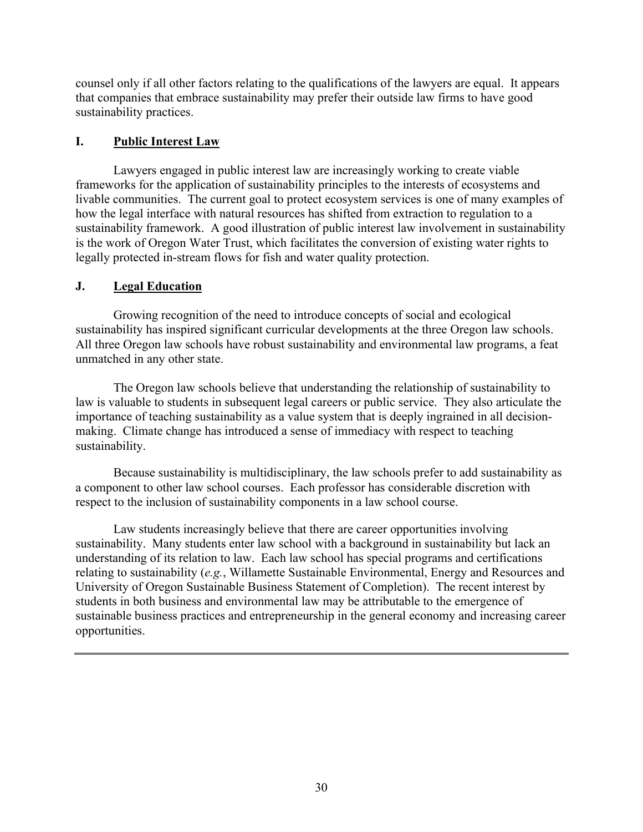counsel only if all other factors relating to the qualifications of the lawyers are equal. It appears that companies that embrace sustainability may prefer their outside law firms to have good sustainability practices.

### **I. Public Interest Law**

Lawyers engaged in public interest law are increasingly working to create viable frameworks for the application of sustainability principles to the interests of ecosystems and livable communities. The current goal to protect ecosystem services is one of many examples of how the legal interface with natural resources has shifted from extraction to regulation to a sustainability framework. A good illustration of public interest law involvement in sustainability is the work of Oregon Water Trust, which facilitates the conversion of existing water rights to legally protected in-stream flows for fish and water quality protection.

### **J. Legal Education**

Growing recognition of the need to introduce concepts of social and ecological sustainability has inspired significant curricular developments at the three Oregon law schools. All three Oregon law schools have robust sustainability and environmental law programs, a feat unmatched in any other state.

The Oregon law schools believe that understanding the relationship of sustainability to law is valuable to students in subsequent legal careers or public service. They also articulate the importance of teaching sustainability as a value system that is deeply ingrained in all decisionmaking. Climate change has introduced a sense of immediacy with respect to teaching sustainability.

Because sustainability is multidisciplinary, the law schools prefer to add sustainability as a component to other law school courses. Each professor has considerable discretion with respect to the inclusion of sustainability components in a law school course.

Law students increasingly believe that there are career opportunities involving sustainability. Many students enter law school with a background in sustainability but lack an understanding of its relation to law. Each law school has special programs and certifications relating to sustainability (*e.g.*, Willamette Sustainable Environmental, Energy and Resources and University of Oregon Sustainable Business Statement of Completion). The recent interest by students in both business and environmental law may be attributable to the emergence of sustainable business practices and entrepreneurship in the general economy and increasing career opportunities.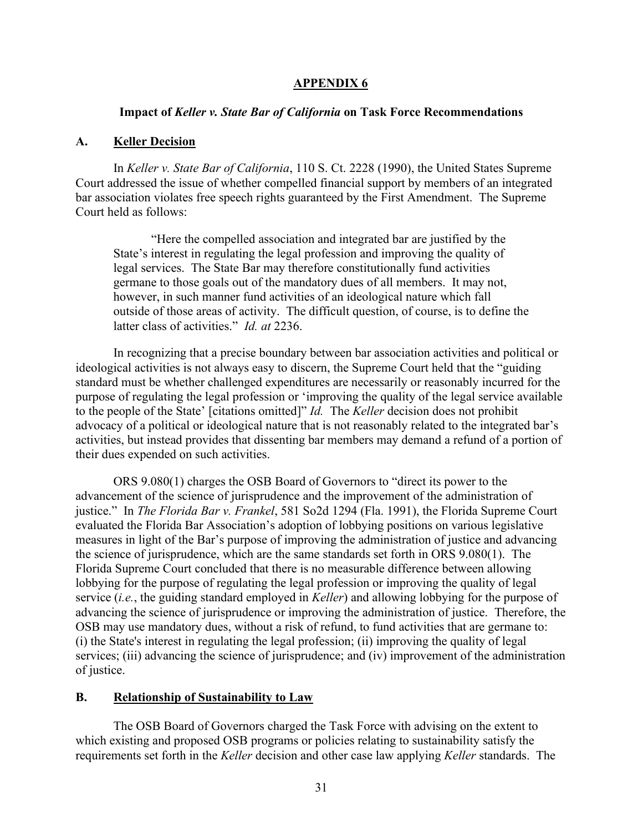#### **APPENDIX 6**

#### **Impact of** *Keller v. State Bar of California* **on Task Force Recommendations**

#### **A. Keller Decision**

In *Keller v. State Bar of California*, 110 S. Ct. 2228 (1990), the United States Supreme Court addressed the issue of whether compelled financial support by members of an integrated bar association violates free speech rights guaranteed by the First Amendment. The Supreme Court held as follows:

"Here the compelled association and integrated bar are justified by the State's interest in regulating the legal profession and improving the quality of legal services. The State Bar may therefore constitutionally fund activities germane to those goals out of the mandatory dues of all members. It may not, however, in such manner fund activities of an ideological nature which fall outside of those areas of activity. The difficult question, of course, is to define the latter class of activities." *Id. at* 2236.

In recognizing that a precise boundary between bar association activities and political or ideological activities is not always easy to discern, the Supreme Court held that the "guiding standard must be whether challenged expenditures are necessarily or reasonably incurred for the purpose of regulating the legal profession or 'improving the quality of the legal service available to the people of the State' [citations omitted]" *Id.* The *Keller* decision does not prohibit advocacy of a political or ideological nature that is not reasonably related to the integrated bar's activities, but instead provides that dissenting bar members may demand a refund of a portion of their dues expended on such activities.

ORS 9.080(1) charges the OSB Board of Governors to "direct its power to the advancement of the science of jurisprudence and the improvement of the administration of justice." In *The Florida Bar v. Frankel*, 581 So2d 1294 (Fla. 1991), the Florida Supreme Court evaluated the Florida Bar Association's adoption of lobbying positions on various legislative measures in light of the Bar's purpose of improving the administration of justice and advancing the science of jurisprudence, which are the same standards set forth in ORS 9.080(1). The Florida Supreme Court concluded that there is no measurable difference between allowing lobbying for the purpose of regulating the legal profession or improving the quality of legal service (*i.e.*, the guiding standard employed in *Keller*) and allowing lobbying for the purpose of advancing the science of jurisprudence or improving the administration of justice. Therefore, the OSB may use mandatory dues, without a risk of refund, to fund activities that are germane to: (i) the State's interest in regulating the legal profession; (ii) improving the quality of legal services; (iii) advancing the science of jurisprudence; and (iv) improvement of the administration of justice.

#### **B. Relationship of Sustainability to Law**

The OSB Board of Governors charged the Task Force with advising on the extent to which existing and proposed OSB programs or policies relating to sustainability satisfy the requirements set forth in the *Keller* decision and other case law applying *Keller* standards. The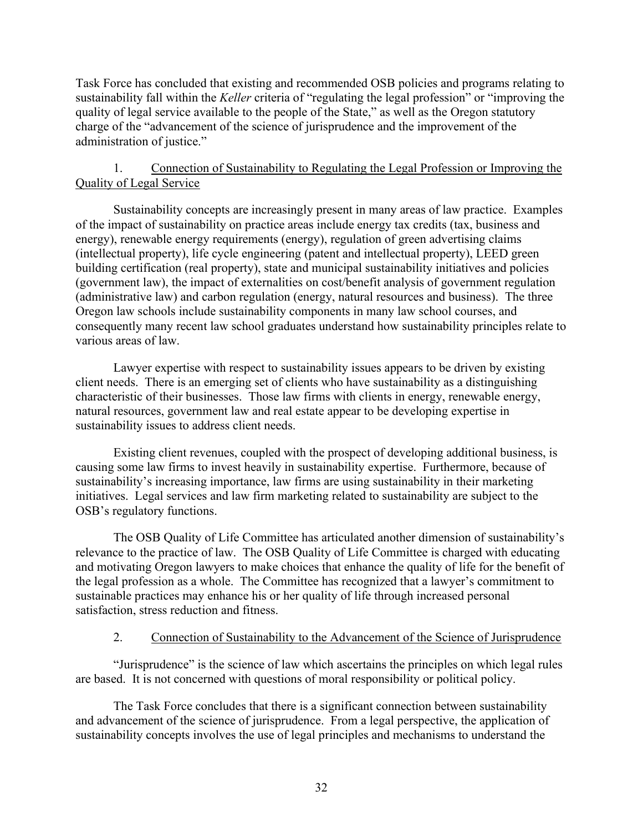Task Force has concluded that existing and recommended OSB policies and programs relating to sustainability fall within the *Keller* criteria of "regulating the legal profession" or "improving the quality of legal service available to the people of the State," as well as the Oregon statutory charge of the "advancement of the science of jurisprudence and the improvement of the administration of justice."

### 1. Connection of Sustainability to Regulating the Legal Profession or Improving the Quality of Legal Service

Sustainability concepts are increasingly present in many areas of law practice. Examples of the impact of sustainability on practice areas include energy tax credits (tax, business and energy), renewable energy requirements (energy), regulation of green advertising claims (intellectual property), life cycle engineering (patent and intellectual property), LEED green building certification (real property), state and municipal sustainability initiatives and policies (government law), the impact of externalities on cost/benefit analysis of government regulation (administrative law) and carbon regulation (energy, natural resources and business). The three Oregon law schools include sustainability components in many law school courses, and consequently many recent law school graduates understand how sustainability principles relate to various areas of law.

Lawyer expertise with respect to sustainability issues appears to be driven by existing client needs. There is an emerging set of clients who have sustainability as a distinguishing characteristic of their businesses. Those law firms with clients in energy, renewable energy, natural resources, government law and real estate appear to be developing expertise in sustainability issues to address client needs.

Existing client revenues, coupled with the prospect of developing additional business, is causing some law firms to invest heavily in sustainability expertise. Furthermore, because of sustainability's increasing importance, law firms are using sustainability in their marketing initiatives. Legal services and law firm marketing related to sustainability are subject to the OSB's regulatory functions.

The OSB Quality of Life Committee has articulated another dimension of sustainability's relevance to the practice of law. The OSB Quality of Life Committee is charged with educating and motivating Oregon lawyers to make choices that enhance the quality of life for the benefit of the legal profession as a whole. The Committee has recognized that a lawyer's commitment to sustainable practices may enhance his or her quality of life through increased personal satisfaction, stress reduction and fitness.

### 2. Connection of Sustainability to the Advancement of the Science of Jurisprudence

"Jurisprudence" is the science of law which ascertains the principles on which legal rules are based. It is not concerned with questions of moral responsibility or political policy.

The Task Force concludes that there is a significant connection between sustainability and advancement of the science of jurisprudence. From a legal perspective, the application of sustainability concepts involves the use of legal principles and mechanisms to understand the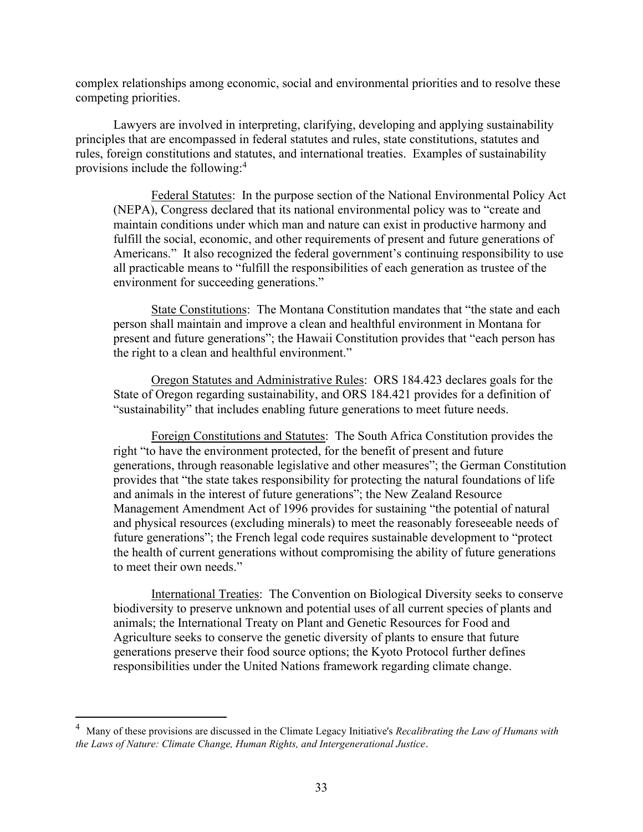complex relationships among economic, social and environmental priorities and to resolve these competing priorities.

Lawyers are involved in interpreting, clarifying, developing and applying sustainability principles that are encompassed in federal statutes and rules, state constitutions, statutes and rules, foreign constitutions and statutes, and international treaties. Examples of sustainability provisions include the following:<sup>4</sup>

Federal Statutes: In the purpose section of the National Environmental Policy Act (NEPA), Congress declared that its national environmental policy was to "create and maintain conditions under which man and nature can exist in productive harmony and fulfill the social, economic, and other requirements of present and future generations of Americans." It also recognized the federal government's continuing responsibility to use all practicable means to "fulfill the responsibilities of each generation as trustee of the environment for succeeding generations."

State Constitutions: The Montana Constitution mandates that "the state and each person shall maintain and improve a clean and healthful environment in Montana for present and future generations"; the Hawaii Constitution provides that "each person has the right to a clean and healthful environment."

Oregon Statutes and Administrative Rules: ORS 184.423 declares goals for the State of Oregon regarding sustainability, and ORS 184.421 provides for a definition of "sustainability" that includes enabling future generations to meet future needs.

Foreign Constitutions and Statutes: The South Africa Constitution provides the right "to have the environment protected, for the benefit of present and future generations, through reasonable legislative and other measures"; the German Constitution provides that "the state takes responsibility for protecting the natural foundations of life and animals in the interest of future generations"; the New Zealand Resource Management Amendment Act of 1996 provides for sustaining "the potential of natural and physical resources (excluding minerals) to meet the reasonably foreseeable needs of future generations"; the French legal code requires sustainable development to "protect the health of current generations without compromising the ability of future generations to meet their own needs."

International Treaties: The Convention on Biological Diversity seeks to conserve biodiversity to preserve unknown and potential uses of all current species of plants and animals; the International Treaty on Plant and Genetic Resources for Food and Agriculture seeks to conserve the genetic diversity of plants to ensure that future generations preserve their food source options; the Kyoto Protocol further defines responsibilities under the United Nations framework regarding climate change.

<sup>4</sup> Many of these provisions are discussed in the Climate Legacy Initiative's *Recalibrating the Law of Humans with the Laws of Nature: Climate Change, Human Rights, and Intergenerational Justice*.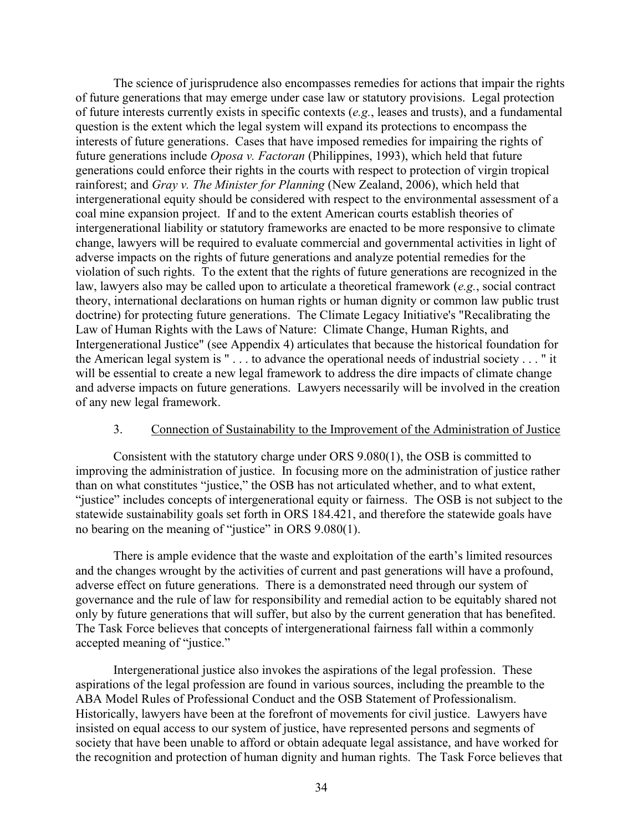The science of jurisprudence also encompasses remedies for actions that impair the rights of future generations that may emerge under case law or statutory provisions. Legal protection of future interests currently exists in specific contexts (*e.g.*, leases and trusts), and a fundamental question is the extent which the legal system will expand its protections to encompass the interests of future generations. Cases that have imposed remedies for impairing the rights of future generations include *Oposa v. Factoran* (Philippines, 1993), which held that future generations could enforce their rights in the courts with respect to protection of virgin tropical rainforest; and *Gray v. The Minister for Planning* (New Zealand, 2006), which held that intergenerational equity should be considered with respect to the environmental assessment of a coal mine expansion project. If and to the extent American courts establish theories of intergenerational liability or statutory frameworks are enacted to be more responsive to climate change, lawyers will be required to evaluate commercial and governmental activities in light of adverse impacts on the rights of future generations and analyze potential remedies for the violation of such rights. To the extent that the rights of future generations are recognized in the law, lawyers also may be called upon to articulate a theoretical framework (*e.g.*, social contract theory, international declarations on human rights or human dignity or common law public trust doctrine) for protecting future generations. The Climate Legacy Initiative's "Recalibrating the Law of Human Rights with the Laws of Nature: Climate Change, Human Rights, and Intergenerational Justice" (see Appendix 4) articulates that because the historical foundation for the American legal system is " . . . to advance the operational needs of industrial society . . . " it will be essential to create a new legal framework to address the dire impacts of climate change and adverse impacts on future generations. Lawyers necessarily will be involved in the creation of any new legal framework.

#### 3. Connection of Sustainability to the Improvement of the Administration of Justice

Consistent with the statutory charge under ORS 9.080(1), the OSB is committed to improving the administration of justice. In focusing more on the administration of justice rather than on what constitutes "justice," the OSB has not articulated whether, and to what extent, "justice" includes concepts of intergenerational equity or fairness. The OSB is not subject to the statewide sustainability goals set forth in ORS 184.421, and therefore the statewide goals have no bearing on the meaning of "justice" in ORS 9.080(1).

There is ample evidence that the waste and exploitation of the earth's limited resources and the changes wrought by the activities of current and past generations will have a profound, adverse effect on future generations. There is a demonstrated need through our system of governance and the rule of law for responsibility and remedial action to be equitably shared not only by future generations that will suffer, but also by the current generation that has benefited. The Task Force believes that concepts of intergenerational fairness fall within a commonly accepted meaning of "justice."

Intergenerational justice also invokes the aspirations of the legal profession. These aspirations of the legal profession are found in various sources, including the preamble to the ABA Model Rules of Professional Conduct and the OSB Statement of Professionalism. Historically, lawyers have been at the forefront of movements for civil justice. Lawyers have insisted on equal access to our system of justice, have represented persons and segments of society that have been unable to afford or obtain adequate legal assistance, and have worked for the recognition and protection of human dignity and human rights. The Task Force believes that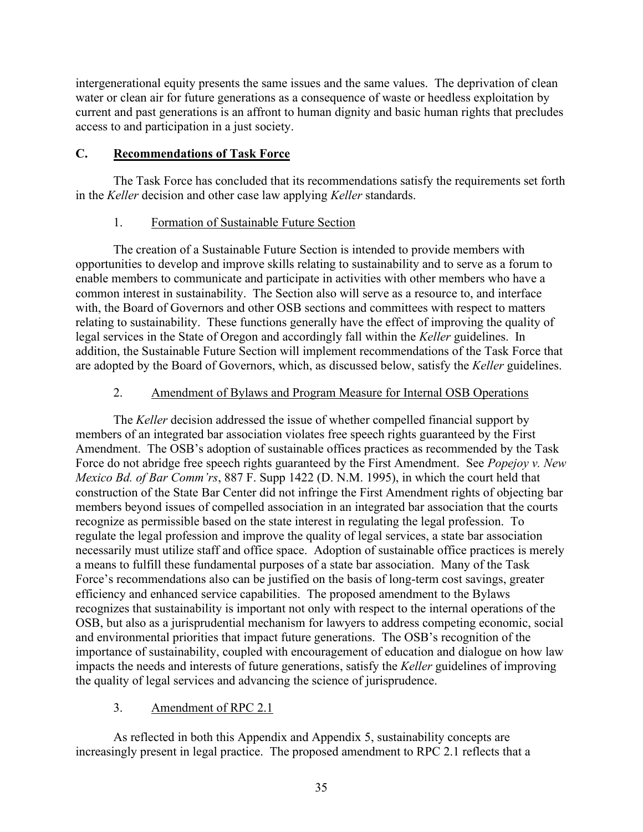intergenerational equity presents the same issues and the same values. The deprivation of clean water or clean air for future generations as a consequence of waste or heedless exploitation by current and past generations is an affront to human dignity and basic human rights that precludes access to and participation in a just society.

### **C. Recommendations of Task Force**

The Task Force has concluded that its recommendations satisfy the requirements set forth in the *Keller* decision and other case law applying *Keller* standards.

### 1. Formation of Sustainable Future Section

The creation of a Sustainable Future Section is intended to provide members with opportunities to develop and improve skills relating to sustainability and to serve as a forum to enable members to communicate and participate in activities with other members who have a common interest in sustainability. The Section also will serve as a resource to, and interface with, the Board of Governors and other OSB sections and committees with respect to matters relating to sustainability. These functions generally have the effect of improving the quality of legal services in the State of Oregon and accordingly fall within the *Keller* guidelines. In addition, the Sustainable Future Section will implement recommendations of the Task Force that are adopted by the Board of Governors, which, as discussed below, satisfy the *Keller* guidelines.

### 2. Amendment of Bylaws and Program Measure for Internal OSB Operations

The *Keller* decision addressed the issue of whether compelled financial support by members of an integrated bar association violates free speech rights guaranteed by the First Amendment. The OSB's adoption of sustainable offices practices as recommended by the Task Force do not abridge free speech rights guaranteed by the First Amendment. See *Popejoy v. New Mexico Bd. of Bar Comm'rs*, 887 F. Supp 1422 (D. N.M. 1995), in which the court held that construction of the State Bar Center did not infringe the First Amendment rights of objecting bar members beyond issues of compelled association in an integrated bar association that the courts recognize as permissible based on the state interest in regulating the legal profession. To regulate the legal profession and improve the quality of legal services, a state bar association necessarily must utilize staff and office space. Adoption of sustainable office practices is merely a means to fulfill these fundamental purposes of a state bar association. Many of the Task Force's recommendations also can be justified on the basis of long-term cost savings, greater efficiency and enhanced service capabilities. The proposed amendment to the Bylaws recognizes that sustainability is important not only with respect to the internal operations of the OSB, but also as a jurisprudential mechanism for lawyers to address competing economic, social and environmental priorities that impact future generations. The OSB's recognition of the importance of sustainability, coupled with encouragement of education and dialogue on how law impacts the needs and interests of future generations, satisfy the *Keller* guidelines of improving the quality of legal services and advancing the science of jurisprudence.

### 3. Amendment of RPC 2.1

As reflected in both this Appendix and Appendix 5, sustainability concepts are increasingly present in legal practice. The proposed amendment to RPC 2.1 reflects that a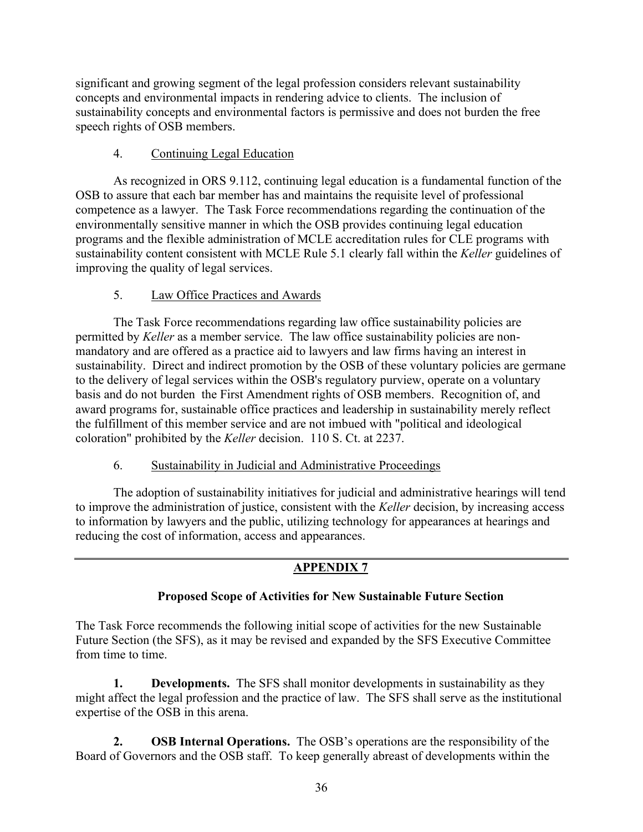significant and growing segment of the legal profession considers relevant sustainability concepts and environmental impacts in rendering advice to clients. The inclusion of sustainability concepts and environmental factors is permissive and does not burden the free speech rights of OSB members.

# 4. Continuing Legal Education

As recognized in ORS 9.112, continuing legal education is a fundamental function of the OSB to assure that each bar member has and maintains the requisite level of professional competence as a lawyer. The Task Force recommendations regarding the continuation of the environmentally sensitive manner in which the OSB provides continuing legal education programs and the flexible administration of MCLE accreditation rules for CLE programs with sustainability content consistent with MCLE Rule 5.1 clearly fall within the *Keller* guidelines of improving the quality of legal services.

### 5. Law Office Practices and Awards

The Task Force recommendations regarding law office sustainability policies are permitted by *Keller* as a member service. The law office sustainability policies are nonmandatory and are offered as a practice aid to lawyers and law firms having an interest in sustainability. Direct and indirect promotion by the OSB of these voluntary policies are germane to the delivery of legal services within the OSB's regulatory purview, operate on a voluntary basis and do not burden the First Amendment rights of OSB members. Recognition of, and award programs for, sustainable office practices and leadership in sustainability merely reflect the fulfillment of this member service and are not imbued with "political and ideological coloration" prohibited by the *Keller* decision. 110 S. Ct. at 2237.

### 6. Sustainability in Judicial and Administrative Proceedings

The adoption of sustainability initiatives for judicial and administrative hearings will tend to improve the administration of justice, consistent with the *Keller* decision, by increasing access to information by lawyers and the public, utilizing technology for appearances at hearings and reducing the cost of information, access and appearances.

# **APPENDIX 7**

# **Proposed Scope of Activities for New Sustainable Future Section**

The Task Force recommends the following initial scope of activities for the new Sustainable Future Section (the SFS), as it may be revised and expanded by the SFS Executive Committee from time to time.

**1. Developments.** The SFS shall monitor developments in sustainability as they might affect the legal profession and the practice of law. The SFS shall serve as the institutional expertise of the OSB in this arena.

**2. OSB Internal Operations.** The OSB's operations are the responsibility of the Board of Governors and the OSB staff. To keep generally abreast of developments within the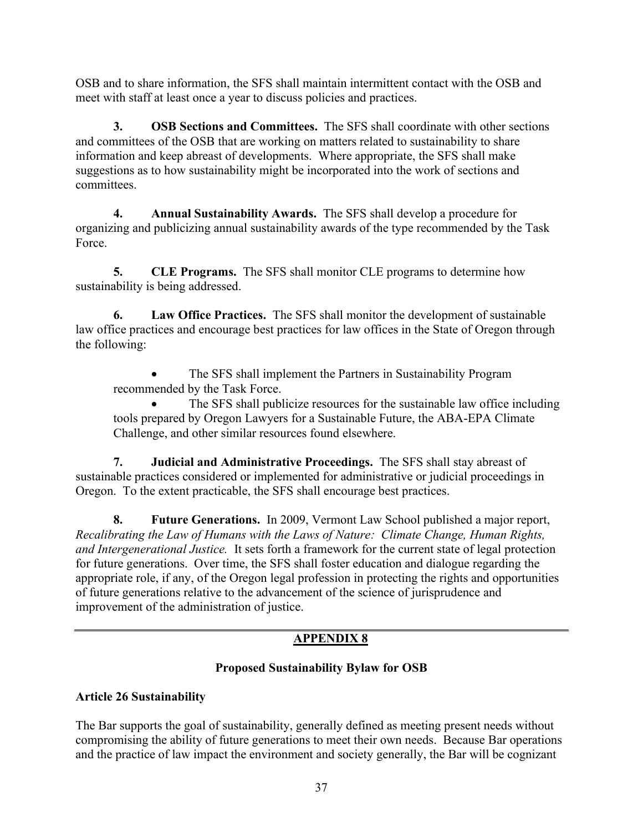OSB and to share information, the SFS shall maintain intermittent contact with the OSB and meet with staff at least once a year to discuss policies and practices.

**3. OSB Sections and Committees.** The SFS shall coordinate with other sections and committees of the OSB that are working on matters related to sustainability to share information and keep abreast of developments. Where appropriate, the SFS shall make suggestions as to how sustainability might be incorporated into the work of sections and committees.

**4. Annual Sustainability Awards.** The SFS shall develop a procedure for organizing and publicizing annual sustainability awards of the type recommended by the Task Force.

**5. CLE Programs.** The SFS shall monitor CLE programs to determine how sustainability is being addressed.

**6. Law Office Practices.** The SFS shall monitor the development of sustainable law office practices and encourage best practices for law offices in the State of Oregon through the following:

The SFS shall implement the Partners in Sustainability Program recommended by the Task Force.

The SFS shall publicize resources for the sustainable law office including tools prepared by Oregon Lawyers for a Sustainable Future, the ABA-EPA Climate Challenge, and other similar resources found elsewhere.

**7. Judicial and Administrative Proceedings.** The SFS shall stay abreast of sustainable practices considered or implemented for administrative or judicial proceedings in Oregon. To the extent practicable, the SFS shall encourage best practices.

**8. Future Generations.** In 2009, Vermont Law School published a major report, *Recalibrating the Law of Humans with the Laws of Nature: Climate Change, Human Rights, and Intergenerational Justice.* It sets forth a framework for the current state of legal protection for future generations. Over time, the SFS shall foster education and dialogue regarding the appropriate role, if any, of the Oregon legal profession in protecting the rights and opportunities of future generations relative to the advancement of the science of jurisprudence and improvement of the administration of justice.

# **APPENDIX 8**

# **Proposed Sustainability Bylaw for OSB**

# **Article 26 Sustainability**

The Bar supports the goal of sustainability, generally defined as meeting present needs without compromising the ability of future generations to meet their own needs. Because Bar operations and the practice of law impact the environment and society generally, the Bar will be cognizant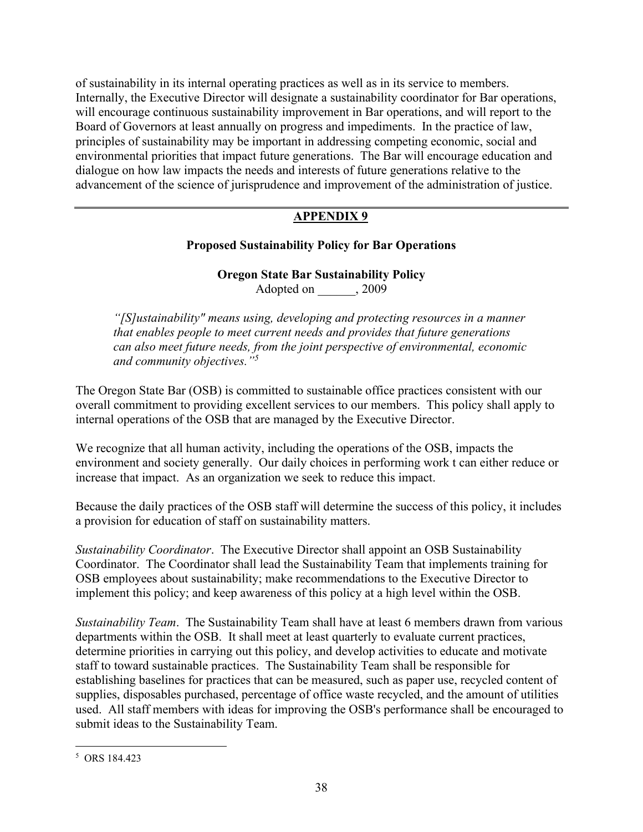of sustainability in its internal operating practices as well as in its service to members. Internally, the Executive Director will designate a sustainability coordinator for Bar operations, will encourage continuous sustainability improvement in Bar operations, and will report to the Board of Governors at least annually on progress and impediments. In the practice of law, principles of sustainability may be important in addressing competing economic, social and environmental priorities that impact future generations. The Bar will encourage education and dialogue on how law impacts the needs and interests of future generations relative to the advancement of the science of jurisprudence and improvement of the administration of justice.

# **APPENDIX 9**

# **Proposed Sustainability Policy for Bar Operations**

**Oregon State Bar Sustainability Policy** Adopted on  $, 2009$ 

*"[S]ustainability" means using, developing and protecting resources in a manner that enables people to meet current needs and provides that future generations can also meet future needs, from the joint perspective of environmental, economic and community objectives."<sup>5</sup>*

The Oregon State Bar (OSB) is committed to sustainable office practices consistent with our overall commitment to providing excellent services to our members. This policy shall apply to internal operations of the OSB that are managed by the Executive Director.

We recognize that all human activity, including the operations of the OSB, impacts the environment and society generally. Our daily choices in performing work t can either reduce or increase that impact. As an organization we seek to reduce this impact.

Because the daily practices of the OSB staff will determine the success of this policy, it includes a provision for education of staff on sustainability matters.

*Sustainability Coordinator*. The Executive Director shall appoint an OSB Sustainability Coordinator. The Coordinator shall lead the Sustainability Team that implements training for OSB employees about sustainability; make recommendations to the Executive Director to implement this policy; and keep awareness of this policy at a high level within the OSB.

*Sustainability Team*. The Sustainability Team shall have at least 6 members drawn from various departments within the OSB. It shall meet at least quarterly to evaluate current practices, determine priorities in carrying out this policy, and develop activities to educate and motivate staff to toward sustainable practices. The Sustainability Team shall be responsible for establishing baselines for practices that can be measured, such as paper use, recycled content of supplies, disposables purchased, percentage of office waste recycled, and the amount of utilities used. All staff members with ideas for improving the OSB's performance shall be encouraged to submit ideas to the Sustainability Team.

<sup>5</sup> ORS 184.423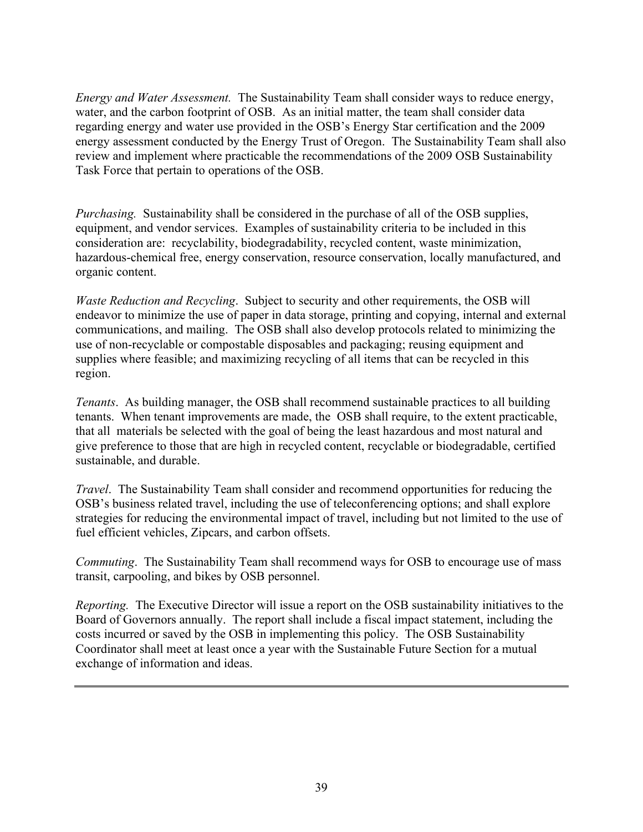*Energy and Water Assessment.* The Sustainability Team shall consider ways to reduce energy, water, and the carbon footprint of OSB. As an initial matter, the team shall consider data regarding energy and water use provided in the OSB's Energy Star certification and the 2009 energy assessment conducted by the Energy Trust of Oregon. The Sustainability Team shall also review and implement where practicable the recommendations of the 2009 OSB Sustainability Task Force that pertain to operations of the OSB.

*Purchasing.* Sustainability shall be considered in the purchase of all of the OSB supplies, equipment, and vendor services. Examples of sustainability criteria to be included in this consideration are: recyclability, biodegradability, recycled content, waste minimization, hazardous-chemical free, energy conservation, resource conservation, locally manufactured, and organic content.

*Waste Reduction and Recycling*. Subject to security and other requirements, the OSB will endeavor to minimize the use of paper in data storage, printing and copying, internal and external communications, and mailing. The OSB shall also develop protocols related to minimizing the use of non-recyclable or compostable disposables and packaging; reusing equipment and supplies where feasible; and maximizing recycling of all items that can be recycled in this region.

*Tenants*. As building manager, the OSB shall recommend sustainable practices to all building tenants. When tenant improvements are made, the OSB shall require, to the extent practicable, that all materials be selected with the goal of being the least hazardous and most natural and give preference to those that are high in recycled content, recyclable or biodegradable, certified sustainable, and durable.

*Travel*. The Sustainability Team shall consider and recommend opportunities for reducing the OSB's business related travel, including the use of teleconferencing options; and shall explore strategies for reducing the environmental impact of travel, including but not limited to the use of fuel efficient vehicles, Zipcars, and carbon offsets.

*Commuting*. The Sustainability Team shall recommend ways for OSB to encourage use of mass transit, carpooling, and bikes by OSB personnel.

*Reporting.* The Executive Director will issue a report on the OSB sustainability initiatives to the Board of Governors annually. The report shall include a fiscal impact statement, including the costs incurred or saved by the OSB in implementing this policy. The OSB Sustainability Coordinator shall meet at least once a year with the Sustainable Future Section for a mutual exchange of information and ideas.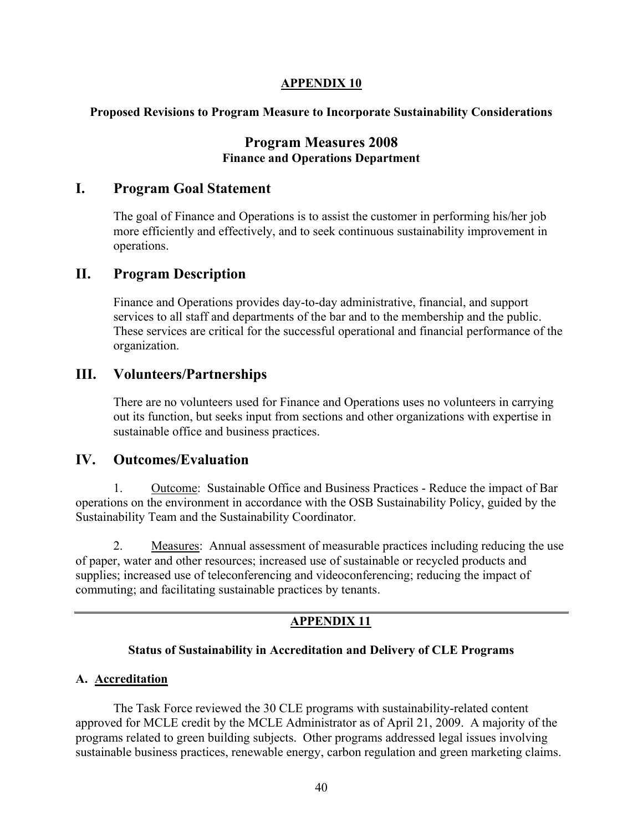### **APPENDIX 10**

### **Proposed Revisions to Program Measure to Incorporate Sustainability Considerations**

# **Program Measures 2008 Finance and Operations Department**

### **I. Program Goal Statement**

The goal of Finance and Operations is to assist the customer in performing his/her job more efficiently and effectively, and to seek continuous sustainability improvement in operations.

# **II. Program Description**

Finance and Operations provides day-to-day administrative, financial, and support services to all staff and departments of the bar and to the membership and the public. These services are critical for the successful operational and financial performance of the organization.

# **III. Volunteers/Partnerships**

There are no volunteers used for Finance and Operations uses no volunteers in carrying out its function, but seeks input from sections and other organizations with expertise in sustainable office and business practices.

# **IV. Outcomes/Evaluation**

1. Outcome: Sustainable Office and Business Practices - Reduce the impact of Bar operations on the environment in accordance with the OSB Sustainability Policy, guided by the Sustainability Team and the Sustainability Coordinator.

2. Measures: Annual assessment of measurable practices including reducing the use of paper, water and other resources; increased use of sustainable or recycled products and supplies; increased use of teleconferencing and videoconferencing; reducing the impact of commuting; and facilitating sustainable practices by tenants.

### **APPENDIX 11**

### **Status of Sustainability in Accreditation and Delivery of CLE Programs**

### **A. Accreditation**

The Task Force reviewed the 30 CLE programs with sustainability-related content approved for MCLE credit by the MCLE Administrator as of April 21, 2009. A majority of the programs related to green building subjects. Other programs addressed legal issues involving sustainable business practices, renewable energy, carbon regulation and green marketing claims.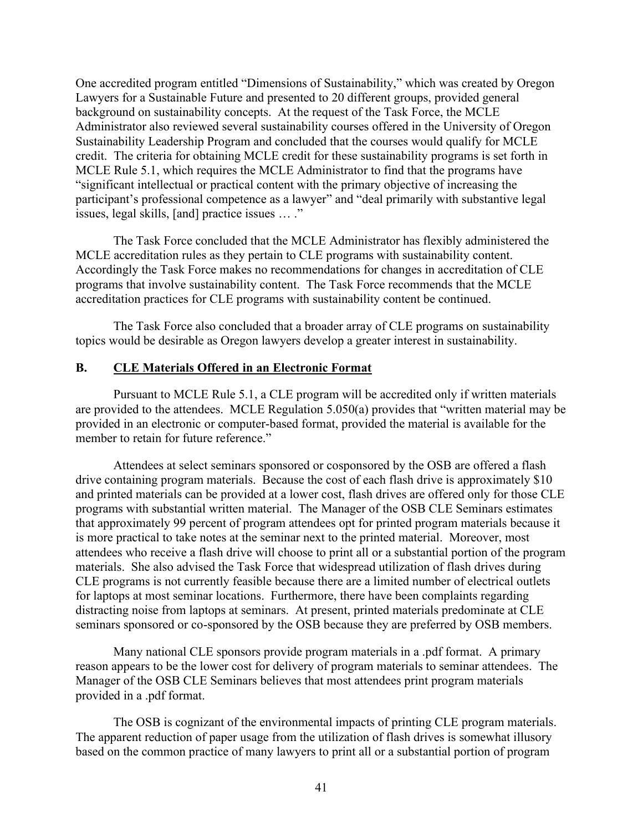One accredited program entitled "Dimensions of Sustainability," which was created by Oregon Lawyers for a Sustainable Future and presented to 20 different groups, provided general background on sustainability concepts. At the request of the Task Force, the MCLE Administrator also reviewed several sustainability courses offered in the University of Oregon Sustainability Leadership Program and concluded that the courses would qualify for MCLE credit. The criteria for obtaining MCLE credit for these sustainability programs is set forth in MCLE Rule 5.1, which requires the MCLE Administrator to find that the programs have "significant intellectual or practical content with the primary objective of increasing the participant's professional competence as a lawyer" and "deal primarily with substantive legal issues, legal skills, [and] practice issues … ."

The Task Force concluded that the MCLE Administrator has flexibly administered the MCLE accreditation rules as they pertain to CLE programs with sustainability content. Accordingly the Task Force makes no recommendations for changes in accreditation of CLE programs that involve sustainability content. The Task Force recommends that the MCLE accreditation practices for CLE programs with sustainability content be continued.

The Task Force also concluded that a broader array of CLE programs on sustainability topics would be desirable as Oregon lawyers develop a greater interest in sustainability.

#### **B. CLE Materials Offered in an Electronic Format**

Pursuant to MCLE Rule 5.1, a CLE program will be accredited only if written materials are provided to the attendees. MCLE Regulation 5.050(a) provides that "written material may be provided in an electronic or computer-based format, provided the material is available for the member to retain for future reference."

Attendees at select seminars sponsored or cosponsored by the OSB are offered a flash drive containing program materials. Because the cost of each flash drive is approximately \$10 and printed materials can be provided at a lower cost, flash drives are offered only for those CLE programs with substantial written material. The Manager of the OSB CLE Seminars estimates that approximately 99 percent of program attendees opt for printed program materials because it is more practical to take notes at the seminar next to the printed material. Moreover, most attendees who receive a flash drive will choose to print all or a substantial portion of the program materials. She also advised the Task Force that widespread utilization of flash drives during CLE programs is not currently feasible because there are a limited number of electrical outlets for laptops at most seminar locations. Furthermore, there have been complaints regarding distracting noise from laptops at seminars. At present, printed materials predominate at CLE seminars sponsored or co-sponsored by the OSB because they are preferred by OSB members.

Many national CLE sponsors provide program materials in a .pdf format. A primary reason appears to be the lower cost for delivery of program materials to seminar attendees. The Manager of the OSB CLE Seminars believes that most attendees print program materials provided in a .pdf format.

The OSB is cognizant of the environmental impacts of printing CLE program materials. The apparent reduction of paper usage from the utilization of flash drives is somewhat illusory based on the common practice of many lawyers to print all or a substantial portion of program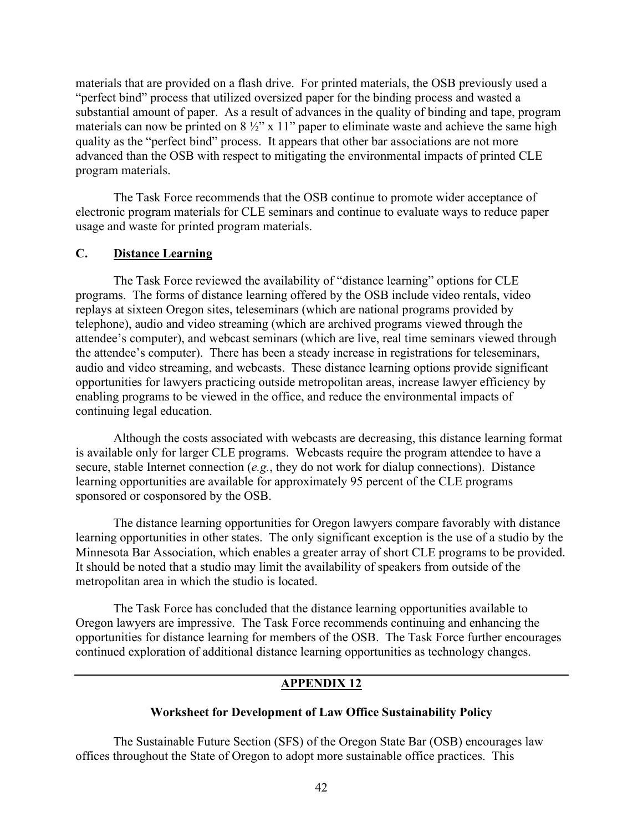materials that are provided on a flash drive. For printed materials, the OSB previously used a "perfect bind" process that utilized oversized paper for the binding process and wasted a substantial amount of paper. As a result of advances in the quality of binding and tape, program materials can now be printed on  $8\frac{1}{2}$ " x 11" paper to eliminate waste and achieve the same high quality as the "perfect bind" process. It appears that other bar associations are not more advanced than the OSB with respect to mitigating the environmental impacts of printed CLE program materials.

The Task Force recommends that the OSB continue to promote wider acceptance of electronic program materials for CLE seminars and continue to evaluate ways to reduce paper usage and waste for printed program materials.

#### **C. Distance Learning**

The Task Force reviewed the availability of "distance learning" options for CLE programs. The forms of distance learning offered by the OSB include video rentals, video replays at sixteen Oregon sites, teleseminars (which are national programs provided by telephone), audio and video streaming (which are archived programs viewed through the attendee's computer), and webcast seminars (which are live, real time seminars viewed through the attendee's computer). There has been a steady increase in registrations for teleseminars, audio and video streaming, and webcasts. These distance learning options provide significant opportunities for lawyers practicing outside metropolitan areas, increase lawyer efficiency by enabling programs to be viewed in the office, and reduce the environmental impacts of continuing legal education.

Although the costs associated with webcasts are decreasing, this distance learning format is available only for larger CLE programs. Webcasts require the program attendee to have a secure, stable Internet connection (*e.g.*, they do not work for dialup connections). Distance learning opportunities are available for approximately 95 percent of the CLE programs sponsored or cosponsored by the OSB.

The distance learning opportunities for Oregon lawyers compare favorably with distance learning opportunities in other states. The only significant exception is the use of a studio by the Minnesota Bar Association, which enables a greater array of short CLE programs to be provided. It should be noted that a studio may limit the availability of speakers from outside of the metropolitan area in which the studio is located.

The Task Force has concluded that the distance learning opportunities available to Oregon lawyers are impressive. The Task Force recommends continuing and enhancing the opportunities for distance learning for members of the OSB. The Task Force further encourages continued exploration of additional distance learning opportunities as technology changes.

### **APPENDIX 12**

#### **Worksheet for Development of Law Office Sustainability Policy**

The Sustainable Future Section (SFS) of the Oregon State Bar (OSB) encourages law offices throughout the State of Oregon to adopt more sustainable office practices. This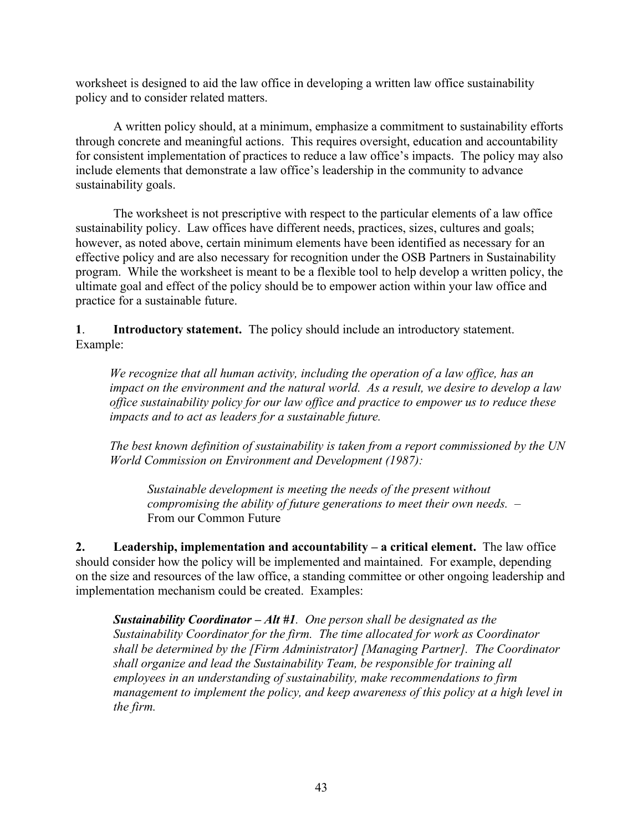worksheet is designed to aid the law office in developing a written law office sustainability policy and to consider related matters.

A written policy should, at a minimum, emphasize a commitment to sustainability efforts through concrete and meaningful actions. This requires oversight, education and accountability for consistent implementation of practices to reduce a law office's impacts. The policy may also include elements that demonstrate a law office's leadership in the community to advance sustainability goals.

The worksheet is not prescriptive with respect to the particular elements of a law office sustainability policy. Law offices have different needs, practices, sizes, cultures and goals; however, as noted above, certain minimum elements have been identified as necessary for an effective policy and are also necessary for recognition under the OSB Partners in Sustainability program. While the worksheet is meant to be a flexible tool to help develop a written policy, the ultimate goal and effect of the policy should be to empower action within your law office and practice for a sustainable future.

**1**. **Introductory statement.** The policy should include an introductory statement. Example:

*We recognize that all human activity, including the operation of a law office, has an impact on the environment and the natural world. As a result, we desire to develop a law office sustainability policy for our law office and practice to empower us to reduce these impacts and to act as leaders for a sustainable future.*

*The best known definition of sustainability is taken from a report commissioned by the UN World Commission on Environment and Development (1987):*

*Sustainable development is meeting the needs of the present without compromising the ability of future generations to meet their own needs. –* From our Common Future

**2. Leadership, implementation and accountability – a critical element.** The law office should consider how the policy will be implemented and maintained. For example, depending on the size and resources of the law office, a standing committee or other ongoing leadership and implementation mechanism could be created. Examples:

*Sustainability Coordinator – Alt #1. One person shall be designated as the Sustainability Coordinator for the firm. The time allocated for work as Coordinator shall be determined by the [Firm Administrator] [Managing Partner]. The Coordinator shall organize and lead the Sustainability Team, be responsible for training all employees in an understanding of sustainability, make recommendations to firm management to implement the policy, and keep awareness of this policy at a high level in the firm.*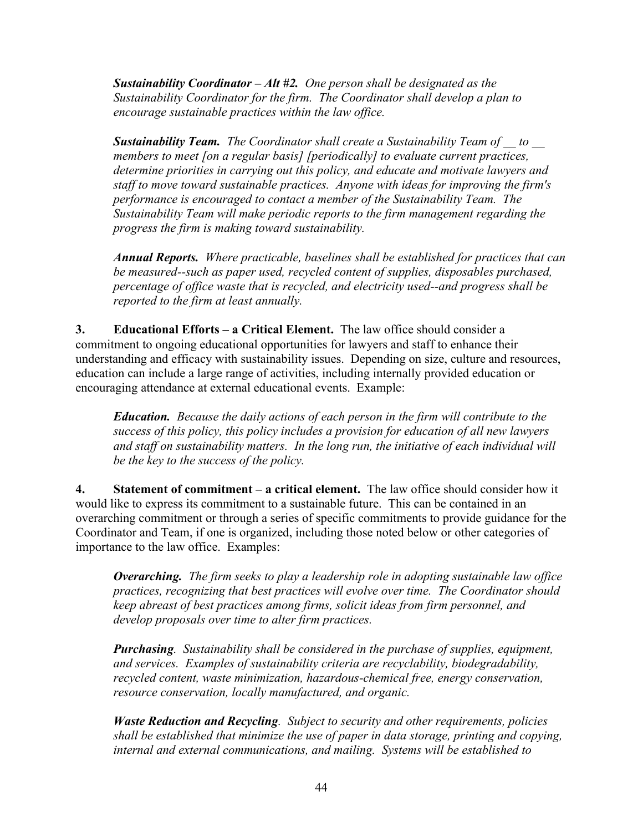*Sustainability Coordinator – Alt #2. One person shall be designated as the Sustainability Coordinator for the firm. The Coordinator shall develop a plan to encourage sustainable practices within the law office.*

*Sustainability Team. The Coordinator shall create a Sustainability Team of \_\_ to \_\_ members to meet [on a regular basis] [periodically] to evaluate current practices, determine priorities in carrying out this policy, and educate and motivate lawyers and staff to move toward sustainable practices. Anyone with ideas for improving the firm's performance is encouraged to contact a member of the Sustainability Team. The Sustainability Team will make periodic reports to the firm management regarding the progress the firm is making toward sustainability.*

*Annual Reports. Where practicable, baselines shall be established for practices that can be measured--such as paper used, recycled content of supplies, disposables purchased, percentage of office waste that is recycled, and electricity used--and progress shall be reported to the firm at least annually.*

**3. Educational Efforts – a Critical Element.** The law office should consider a commitment to ongoing educational opportunities for lawyers and staff to enhance their understanding and efficacy with sustainability issues. Depending on size, culture and resources, education can include a large range of activities, including internally provided education or encouraging attendance at external educational events. Example:

*Education. Because the daily actions of each person in the firm will contribute to the success of this policy, this policy includes a provision for education of all new lawyers and staff on sustainability matters. In the long run, the initiative of each individual will be the key to the success of the policy.*

**4. Statement of commitment – a critical element.** The law office should consider how it would like to express its commitment to a sustainable future. This can be contained in an overarching commitment or through a series of specific commitments to provide guidance for the Coordinator and Team, if one is organized, including those noted below or other categories of importance to the law office. Examples:

*Overarching. The firm seeks to play a leadership role in adopting sustainable law office practices, recognizing that best practices will evolve over time. The Coordinator should keep abreast of best practices among firms, solicit ideas from firm personnel, and develop proposals over time to alter firm practices.*

*Purchasing. Sustainability shall be considered in the purchase of supplies, equipment, and services. Examples of sustainability criteria are recyclability, biodegradability, recycled content, waste minimization, hazardous-chemical free, energy conservation, resource conservation, locally manufactured, and organic.*

*Waste Reduction and Recycling. Subject to security and other requirements, policies shall be established that minimize the use of paper in data storage, printing and copying, internal and external communications, and mailing. Systems will be established to*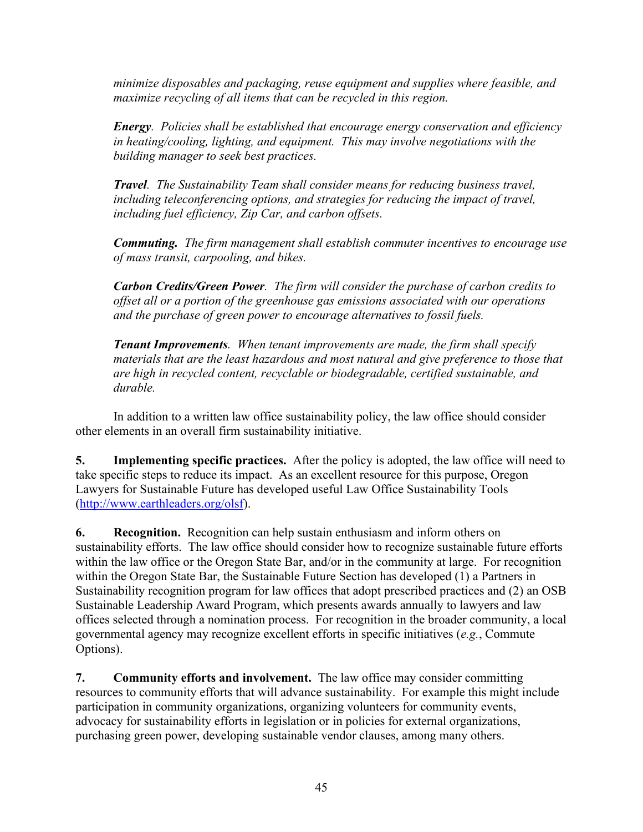*minimize disposables and packaging, reuse equipment and supplies where feasible, and maximize recycling of all items that can be recycled in this region.*

*Energy. Policies shall be established that encourage energy conservation and efficiency in heating/cooling, lighting, and equipment. This may involve negotiations with the building manager to seek best practices.*

*Travel. The Sustainability Team shall consider means for reducing business travel, including teleconferencing options, and strategies for reducing the impact of travel, including fuel efficiency, Zip Car, and carbon offsets.*

*Commuting. The firm management shall establish commuter incentives to encourage use of mass transit, carpooling, and bikes.*

*Carbon Credits/Green Power. The firm will consider the purchase of carbon credits to offset all or a portion of the greenhouse gas emissions associated with our operations and the purchase of green power to encourage alternatives to fossil fuels.*

*Tenant Improvements. When tenant improvements are made, the firm shall specify materials that are the least hazardous and most natural and give preference to those that are high in recycled content, recyclable or biodegradable, certified sustainable, and durable.*

In addition to a written law office sustainability policy, the law office should consider other elements in an overall firm sustainability initiative.

**5. Implementing specific practices.** After the policy is adopted, the law office will need to take specific steps to reduce its impact. As an excellent resource for this purpose, Oregon Lawyers for Sustainable Future has developed useful Law Office Sustainability Tools [\(http://www.earthleaders.org/olsf\)](http://www.earthleaders.org/olsf).

**6. Recognition.** Recognition can help sustain enthusiasm and inform others on sustainability efforts. The law office should consider how to recognize sustainable future efforts within the law office or the Oregon State Bar, and/or in the community at large. For recognition within the Oregon State Bar, the Sustainable Future Section has developed (1) a Partners in Sustainability recognition program for law offices that adopt prescribed practices and (2) an OSB Sustainable Leadership Award Program, which presents awards annually to lawyers and law offices selected through a nomination process. For recognition in the broader community, a local governmental agency may recognize excellent efforts in specific initiatives (*e.g.*, Commute Options).

**7. Community efforts and involvement.** The law office may consider committing resources to community efforts that will advance sustainability. For example this might include participation in community organizations, organizing volunteers for community events, advocacy for sustainability efforts in legislation or in policies for external organizations, purchasing green power, developing sustainable vendor clauses, among many others.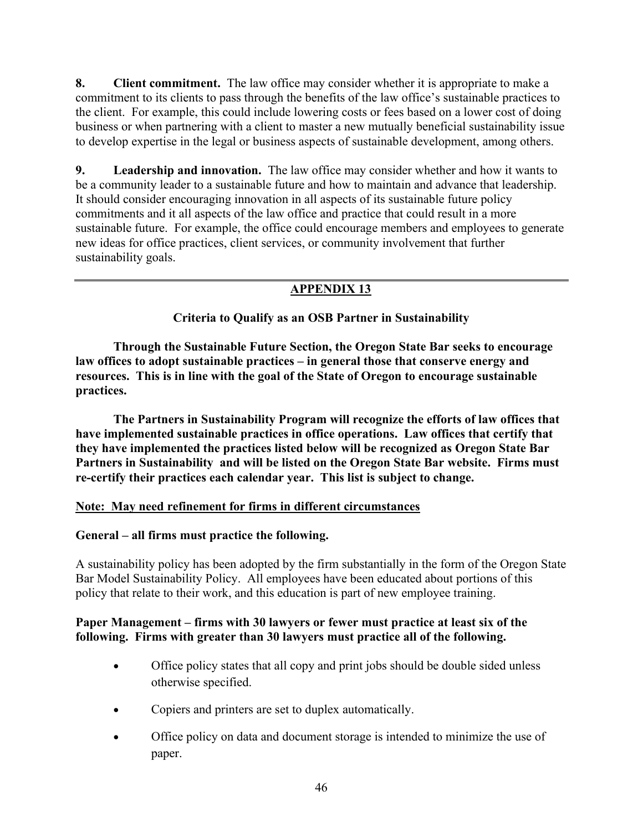**8. Client commitment.** The law office may consider whether it is appropriate to make a commitment to its clients to pass through the benefits of the law office's sustainable practices to the client. For example, this could include lowering costs or fees based on a lower cost of doing business or when partnering with a client to master a new mutually beneficial sustainability issue to develop expertise in the legal or business aspects of sustainable development, among others.

**9. Leadership and innovation.** The law office may consider whether and how it wants to be a community leader to a sustainable future and how to maintain and advance that leadership. It should consider encouraging innovation in all aspects of its sustainable future policy commitments and it all aspects of the law office and practice that could result in a more sustainable future. For example, the office could encourage members and employees to generate new ideas for office practices, client services, or community involvement that further sustainability goals.

# **APPENDIX 13**

**Criteria to Qualify as an OSB Partner in Sustainability**

**Through the Sustainable Future Section, the Oregon State Bar seeks to encourage law offices to adopt sustainable practices – in general those that conserve energy and resources. This is in line with the goal of the State of Oregon to encourage sustainable practices.**

**The Partners in Sustainability Program will recognize the efforts of law offices that have implemented sustainable practices in office operations. Law offices that certify that they have implemented the practices listed below will be recognized as Oregon State Bar Partners in Sustainability and will be listed on the Oregon State Bar website. Firms must re-certify their practices each calendar year. This list is subject to change.**

### **Note: May need refinement for firms in different circumstances**

### **General – all firms must practice the following.**

A sustainability policy has been adopted by the firm substantially in the form of the Oregon State Bar Model Sustainability Policy. All employees have been educated about portions of this policy that relate to their work, and this education is part of new employee training.

### **Paper Management – firms with 30 lawyers or fewer must practice at least six of the following. Firms with greater than 30 lawyers must practice all of the following.**

- Office policy states that all copy and print jobs should be double sided unless otherwise specified.
- Copiers and printers are set to duplex automatically.
- Office policy on data and document storage is intended to minimize the use of paper.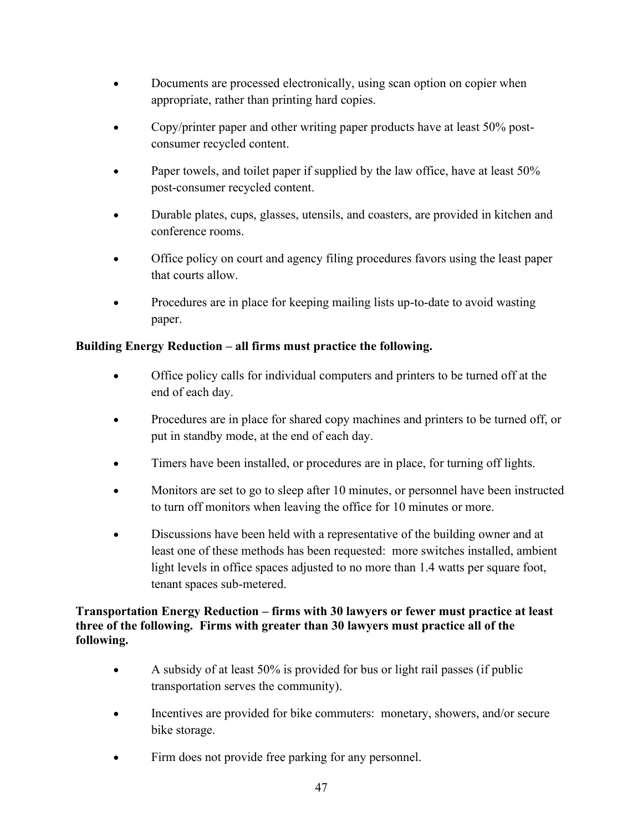- Documents are processed electronically, using scan option on copier when appropriate, rather than printing hard copies.
- Copy/printer paper and other writing paper products have at least 50% postconsumer recycled content.
- Paper towels, and toilet paper if supplied by the law office, have at least 50% post-consumer recycled content.
- Durable plates, cups, glasses, utensils, and coasters, are provided in kitchen and conference rooms.
- Office policy on court and agency filing procedures favors using the least paper that courts allow.
- Procedures are in place for keeping mailing lists up-to-date to avoid wasting paper.

# **Building Energy Reduction – all firms must practice the following.**

- Office policy calls for individual computers and printers to be turned off at the end of each day.
- Procedures are in place for shared copy machines and printers to be turned off, or put in standby mode, at the end of each day.
- Timers have been installed, or procedures are in place, for turning off lights.
- Monitors are set to go to sleep after 10 minutes, or personnel have been instructed to turn off monitors when leaving the office for 10 minutes or more.
- Discussions have been held with a representative of the building owner and at least one of these methods has been requested: more switches installed, ambient light levels in office spaces adjusted to no more than 1.4 watts per square foot, tenant spaces sub-metered.

# **Transportation Energy Reduction – firms with 30 lawyers or fewer must practice at least three of the following. Firms with greater than 30 lawyers must practice all of the following.**

- A subsidy of at least 50% is provided for bus or light rail passes (if public transportation serves the community).
- Incentives are provided for bike commuters: monetary, showers, and/or secure bike storage.
- Firm does not provide free parking for any personnel.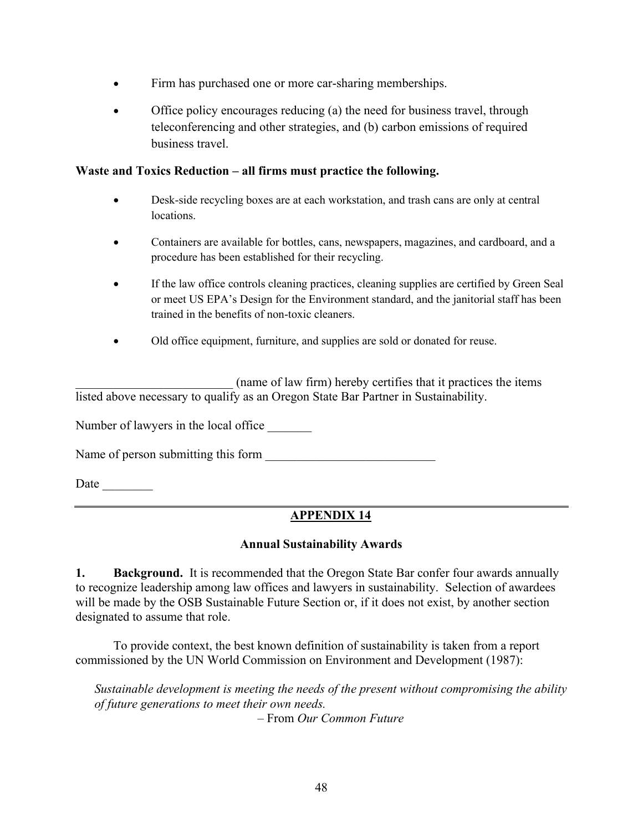- Firm has purchased one or more car-sharing memberships.
- Office policy encourages reducing (a) the need for business travel, through teleconferencing and other strategies, and (b) carbon emissions of required business travel.

### **Waste and Toxics Reduction – all firms must practice the following.**

- Desk-side recycling boxes are at each workstation, and trash cans are only at central locations.
- Containers are available for bottles, cans, newspapers, magazines, and cardboard, and a procedure has been established for their recycling.
- If the law office controls cleaning practices, cleaning supplies are certified by Green Seal or meet US EPA's Design for the Environment standard, and the janitorial staff has been trained in the benefits of non-toxic cleaners.
- Old office equipment, furniture, and supplies are sold or donated for reuse.

(name of law firm) hereby certifies that it practices the items listed above necessary to qualify as an Oregon State Bar Partner in Sustainability.

Number of lawyers in the local office

Name of person submitting this form \_\_\_\_\_\_\_\_\_\_\_\_\_\_\_\_\_\_\_\_\_\_\_\_\_\_\_

Date  $\qquad \qquad \qquad$ 

# **APPENDIX 14**

### **Annual Sustainability Awards**

**1. Background.** It is recommended that the Oregon State Bar confer four awards annually to recognize leadership among law offices and lawyers in sustainability. Selection of awardees will be made by the OSB Sustainable Future Section or, if it does not exist, by another section designated to assume that role.

To provide context, the best known definition of sustainability is taken from a report commissioned by the UN World Commission on Environment and Development (1987):

*Sustainable development is meeting the needs of the present without compromising the ability of future generations to meet their own needs.*

– From *Our Common Future*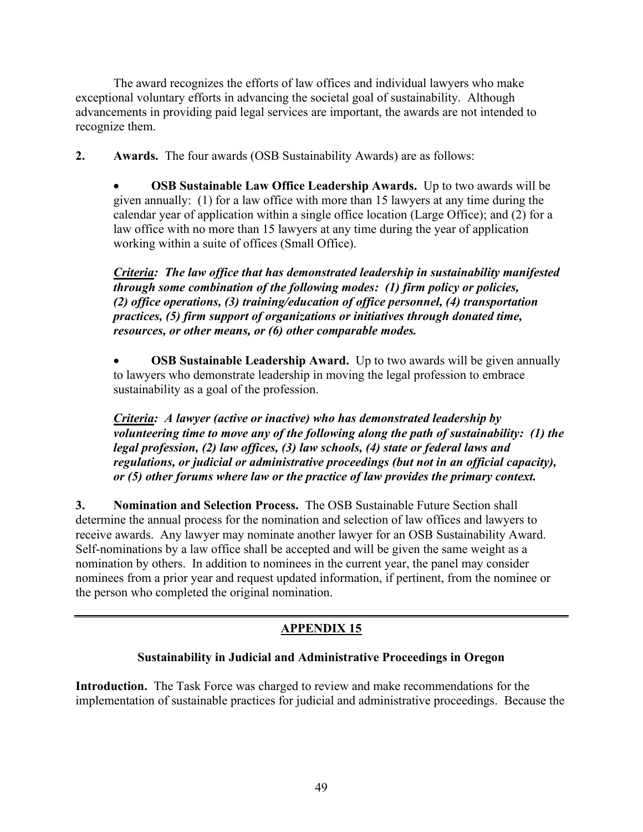The award recognizes the efforts of law offices and individual lawyers who make exceptional voluntary efforts in advancing the societal goal of sustainability. Although advancements in providing paid legal services are important, the awards are not intended to recognize them.

**2. Awards.** The four awards (OSB Sustainability Awards) are as follows:

• **OSB Sustainable Law Office Leadership Awards.** Up to two awards will be given annually: (1) for a law office with more than 15 lawyers at any time during the calendar year of application within a single office location (Large Office); and (2) for a law office with no more than 15 lawyers at any time during the year of application working within a suite of offices (Small Office).

*Criteria: The law office that has demonstrated leadership in sustainability manifested through some combination of the following modes: (1) firm policy or policies, (2) office operations, (3) training/education of office personnel, (4) transportation practices, (5) firm support of organizations or initiatives through donated time, resources, or other means, or (6) other comparable modes.*

• **OSB Sustainable Leadership Award.** Up to two awards will be given annually to lawyers who demonstrate leadership in moving the legal profession to embrace sustainability as a goal of the profession.

*Criteria: A lawyer (active or inactive) who has demonstrated leadership by volunteering time to move any of the following along the path of sustainability: (1) the legal profession, (2) law offices, (3) law schools, (4) state or federal laws and regulations, or judicial or administrative proceedings (but not in an official capacity), or (5) other forums where law or the practice of law provides the primary context.* 

**3. Nomination and Selection Process.** The OSB Sustainable Future Section shall determine the annual process for the nomination and selection of law offices and lawyers to receive awards. Any lawyer may nominate another lawyer for an OSB Sustainability Award. Self-nominations by a law office shall be accepted and will be given the same weight as a nomination by others. In addition to nominees in the current year, the panel may consider nominees from a prior year and request updated information, if pertinent, from the nominee or the person who completed the original nomination.

# **APPENDIX 15**

### **Sustainability in Judicial and Administrative Proceedings in Oregon**

**Introduction.** The Task Force was charged to review and make recommendations for the implementation of sustainable practices for judicial and administrative proceedings. Because the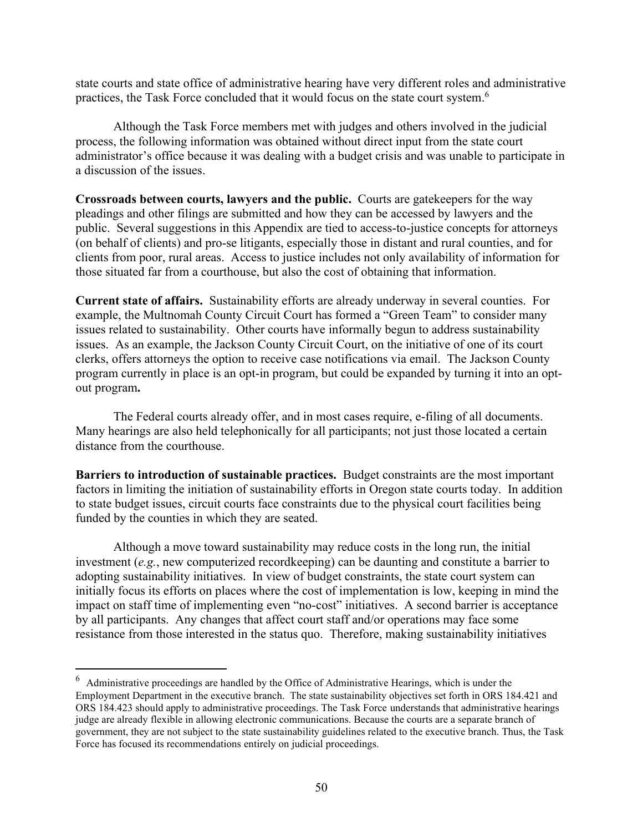state courts and state office of administrative hearing have very different roles and administrative practices, the Task Force concluded that it would focus on the state court system.<sup>6</sup>

Although the Task Force members met with judges and others involved in the judicial process, the following information was obtained without direct input from the state court administrator's office because it was dealing with a budget crisis and was unable to participate in a discussion of the issues.

**Crossroads between courts, lawyers and the public.** Courts are gatekeepers for the way pleadings and other filings are submitted and how they can be accessed by lawyers and the public. Several suggestions in this Appendix are tied to access-to-justice concepts for attorneys (on behalf of clients) and pro-se litigants, especially those in distant and rural counties, and for clients from poor, rural areas. Access to justice includes not only availability of information for those situated far from a courthouse, but also the cost of obtaining that information.

**Current state of affairs.** Sustainability efforts are already underway in several counties. For example, the Multnomah County Circuit Court has formed a "Green Team" to consider many issues related to sustainability. Other courts have informally begun to address sustainability issues. As an example, the Jackson County Circuit Court, on the initiative of one of its court clerks, offers attorneys the option to receive case notifications via email. The Jackson County program currently in place is an opt-in program, but could be expanded by turning it into an optout program**.**

The Federal courts already offer, and in most cases require, e-filing of all documents. Many hearings are also held telephonically for all participants; not just those located a certain distance from the courthouse.

**Barriers to introduction of sustainable practices.** Budget constraints are the most important factors in limiting the initiation of sustainability efforts in Oregon state courts today. In addition to state budget issues, circuit courts face constraints due to the physical court facilities being funded by the counties in which they are seated.

Although a move toward sustainability may reduce costs in the long run, the initial investment (*e.g.*, new computerized recordkeeping) can be daunting and constitute a barrier to adopting sustainability initiatives. In view of budget constraints, the state court system can initially focus its efforts on places where the cost of implementation is low, keeping in mind the impact on staff time of implementing even "no-cost" initiatives. A second barrier is acceptance by all participants. Any changes that affect court staff and/or operations may face some resistance from those interested in the status quo. Therefore, making sustainability initiatives

 $^6$  Administrative proceedings are handled by the Office of Administrative Hearings, which is under the Employment Department in the executive branch. The state sustainability objectives set forth in ORS 184.421 and ORS 184.423 should apply to administrative proceedings. The Task Force understands that administrative hearings judge are already flexible in allowing electronic communications. Because the courts are a separate branch of government, they are not subject to the state sustainability guidelines related to the executive branch. Thus, the Task Force has focused its recommendations entirely on judicial proceedings.